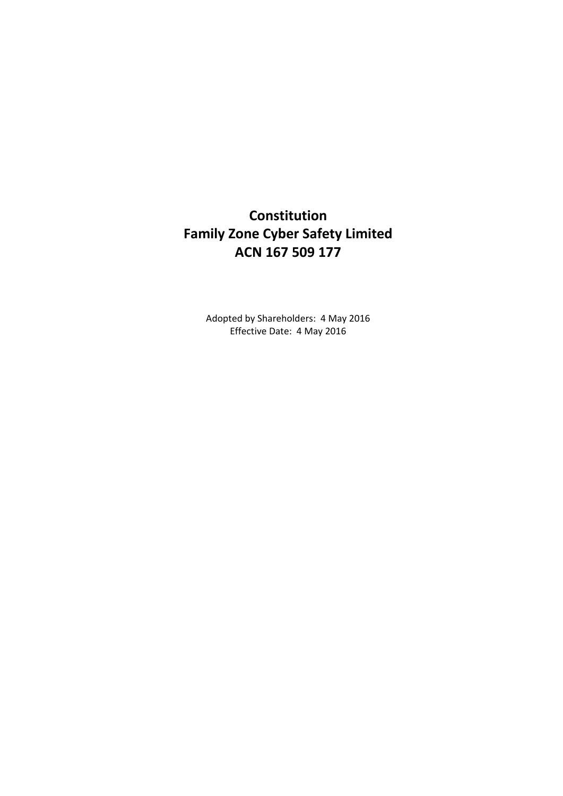# **Constitution Family Zone Cyber Safety Limited ACN 167 509 177**

Adopted by Shareholders: 4 May 2016 Effective Date: 4 May 2016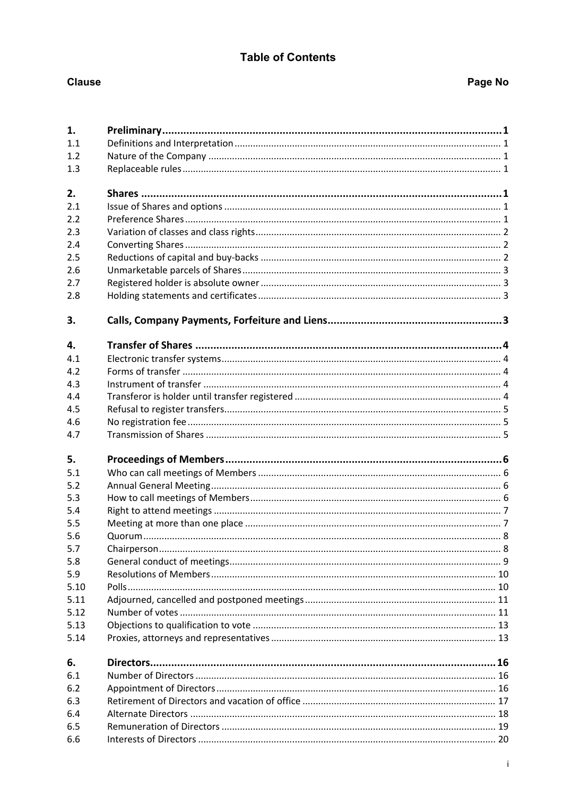## **Table of Contents**

## **Clause**

## Page No

| 1.   |  |
|------|--|
| 1.1  |  |
| 1.2  |  |
| 1.3  |  |
|      |  |
| 2.   |  |
| 2.1  |  |
| 2.2  |  |
| 2.3  |  |
| 2.4  |  |
| 2.5  |  |
| 2.6  |  |
| 2.7  |  |
| 2.8  |  |
| 3.   |  |
| 4.   |  |
| 4.1  |  |
| 4.2  |  |
| 4.3  |  |
| 4.4  |  |
| 4.5  |  |
| 4.6  |  |
| 4.7  |  |
|      |  |
| 5.   |  |
| 5.1  |  |
| 5.2  |  |
| 5.3  |  |
| 5.4  |  |
| 5.5  |  |
| 5.6  |  |
| 5.7  |  |
| 5.8  |  |
| 5.9  |  |
| 5.10 |  |
| 5.11 |  |
| 5.12 |  |
| 5.13 |  |
| 5.14 |  |
| 6.   |  |
| 6.1  |  |
| 6.2  |  |
| 6.3  |  |
| 6.4  |  |
| 6.5  |  |
| 6.6  |  |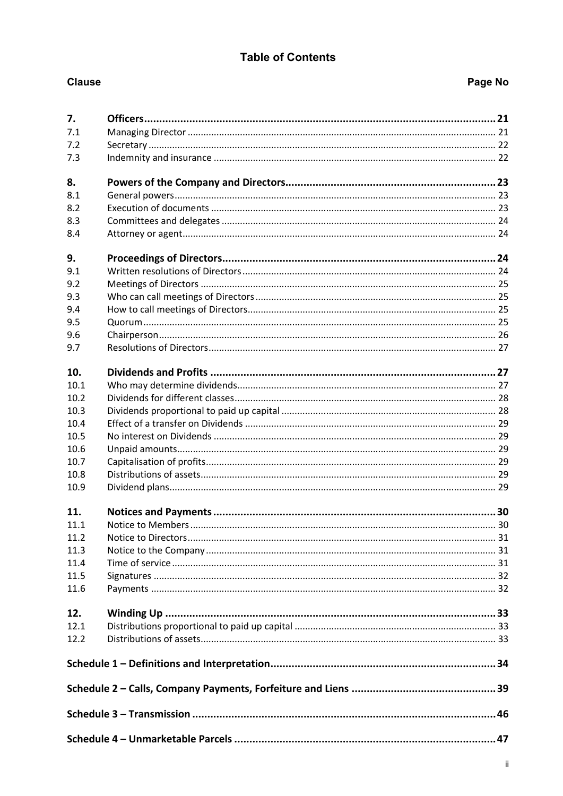## **Table of Contents**

| 7.           |  |  |  |  |
|--------------|--|--|--|--|
| 7.1          |  |  |  |  |
| 7.2          |  |  |  |  |
| 7.3          |  |  |  |  |
|              |  |  |  |  |
| 8.           |  |  |  |  |
| 8.1          |  |  |  |  |
| 8.2          |  |  |  |  |
| 8.3          |  |  |  |  |
| 8.4          |  |  |  |  |
| 9.           |  |  |  |  |
| 9.1          |  |  |  |  |
| 9.2          |  |  |  |  |
| 9.3          |  |  |  |  |
| 9.4          |  |  |  |  |
| 9.5          |  |  |  |  |
| 9.6          |  |  |  |  |
| 9.7          |  |  |  |  |
| 10.          |  |  |  |  |
| 10.1         |  |  |  |  |
| 10.2         |  |  |  |  |
| 10.3         |  |  |  |  |
|              |  |  |  |  |
| 10.4<br>10.5 |  |  |  |  |
| 10.6         |  |  |  |  |
| 10.7         |  |  |  |  |
| 10.8         |  |  |  |  |
| 10.9         |  |  |  |  |
|              |  |  |  |  |
| 11.          |  |  |  |  |
| 11.1         |  |  |  |  |
| 11.2         |  |  |  |  |
| 11.3         |  |  |  |  |
| 11.4         |  |  |  |  |
| 11.5         |  |  |  |  |
| 11.6         |  |  |  |  |
| 12.          |  |  |  |  |
| 12.1         |  |  |  |  |
| 12.2         |  |  |  |  |
|              |  |  |  |  |
|              |  |  |  |  |
|              |  |  |  |  |
|              |  |  |  |  |
|              |  |  |  |  |

**Clause** 

# Page No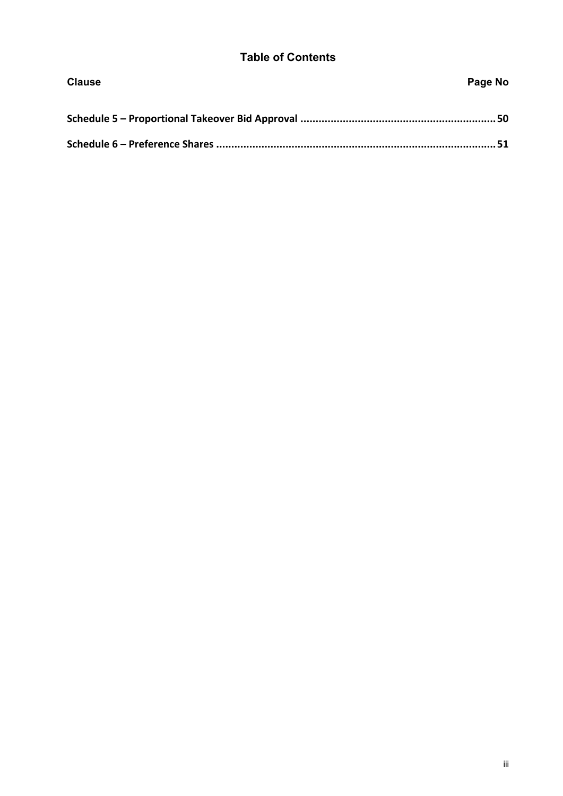## **Table of Contents**

| <b>Clause</b> | Page No |
|---------------|---------|
|               |         |
|               |         |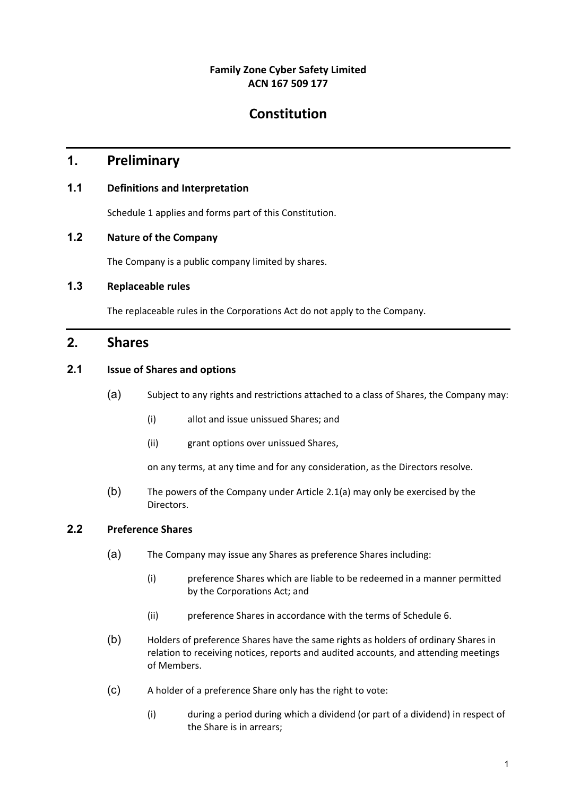## **Family Zone Cyber Safety Limited ACN 167 509 177**

# **Constitution**

## **1. Preliminary**

## **1.1 Definitions and Interpretation**

Schedule 1 applies and forms part of this Constitution.

## **1.2 Nature of the Company**

The Company is a public company limited by shares.

## **1.3 Replaceable rules**

The replaceable rules in the Corporations Act do not apply to the Company.

## **2. Shares**

### **2.1 Issue of Shares and options**

- (a) Subject to any rights and restrictions attached to a class of Shares, the Company may:
	- (i) allot and issue unissued Shares; and
	- (ii) grant options over unissued Shares,

on any terms, at any time and for any consideration, as the Directors resolve.

(b) The powers of the Company under Article 2.1(a) may only be exercised by the Directors.

## **2.2 Preference Shares**

- (a) The Company may issue any Shares as preference Shares including:
	- (i) preference Shares which are liable to be redeemed in a manner permitted by the Corporations Act; and
	- (ii) preference Shares in accordance with the terms of Schedule 6.
- (b) Holders of preference Shares have the same rights as holders of ordinary Shares in relation to receiving notices, reports and audited accounts, and attending meetings of Members.
- (c) A holder of a preference Share only has the right to vote:
	- (i) during a period during which a dividend (or part of a dividend) in respect of the Share is in arrears;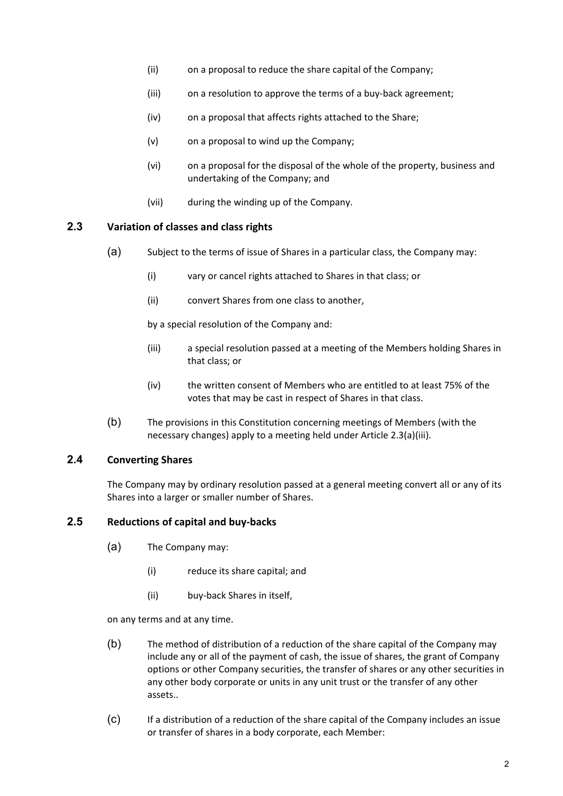- (ii) on a proposal to reduce the share capital of the Company;
- (iii) on a resolution to approve the terms of a buy-back agreement;
- (iv) on a proposal that affects rights attached to the Share;
- (v) on a proposal to wind up the Company;
- (vi) on a proposal for the disposal of the whole of the property, business and undertaking of the Company; and
- (vii) during the winding up of the Company.

#### **2.3 Variation of classes and class rights**

- (a) Subject to the terms of issue of Shares in a particular class, the Company may:
	- (i) vary or cancel rights attached to Shares in that class; or
	- (ii) convert Shares from one class to another,

by a special resolution of the Company and:

- (iii) a special resolution passed at a meeting of the Members holding Shares in that class; or
- (iv) the written consent of Members who are entitled to at least 75% of the votes that may be cast in respect of Shares in that class.
- (b) The provisions in this Constitution concerning meetings of Members (with the necessary changes) apply to a meeting held under Article 2.3(a)(iii).

### **2.4 Converting Shares**

The Company may by ordinary resolution passed at a general meeting convert all or any of its Shares into a larger or smaller number of Shares.

#### **2.5 Reductions of capital and buy‐backs**

- (a) The Company may:
	- (i) reduce its share capital; and
	- (ii) buy‐back Shares in itself,

on any terms and at any time.

- (b) The method of distribution of a reduction of the share capital of the Company may include any or all of the payment of cash, the issue of shares, the grant of Company options or other Company securities, the transfer of shares or any other securities in any other body corporate or units in any unit trust or the transfer of any other assets..
- (c) If a distribution of a reduction of the share capital of the Company includes an issue or transfer of shares in a body corporate, each Member: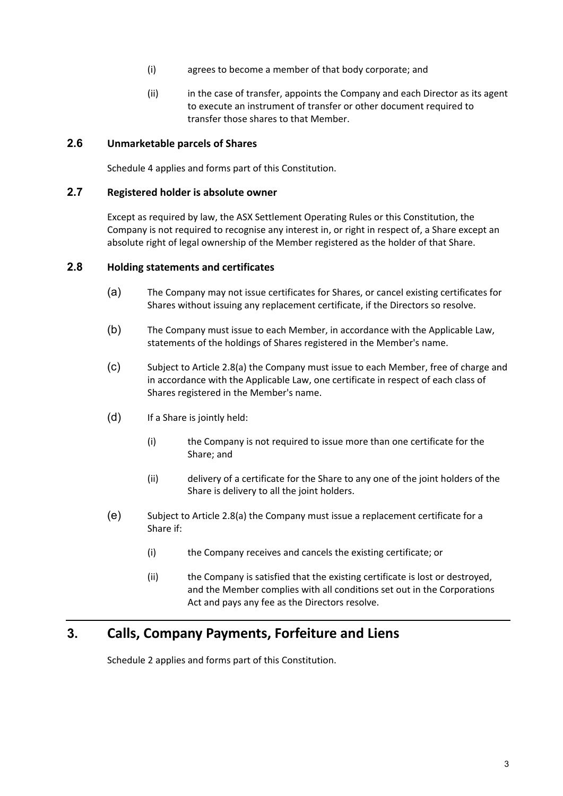- (i) agrees to become a member of that body corporate; and
- (ii) in the case of transfer, appoints the Company and each Director as its agent to execute an instrument of transfer or other document required to transfer those shares to that Member.

#### **2.6 Unmarketable parcels of Shares**

Schedule 4 applies and forms part of this Constitution.

#### **2.7 Registered holder is absolute owner**

Except as required by law, the ASX Settlement Operating Rules or this Constitution, the Company is not required to recognise any interest in, or right in respect of, a Share except an absolute right of legal ownership of the Member registered as the holder of that Share.

#### **2.8 Holding statements and certificates**

- (a) The Company may not issue certificates for Shares, or cancel existing certificates for Shares without issuing any replacement certificate, if the Directors so resolve.
- (b) The Company must issue to each Member, in accordance with the Applicable Law, statements of the holdings of Shares registered in the Member's name.
- (c) Subject to Article 2.8(a) the Company must issue to each Member, free of charge and in accordance with the Applicable Law, one certificate in respect of each class of Shares registered in the Member's name.
- (d) If a Share is jointly held:
	- (i) the Company is not required to issue more than one certificate for the Share; and
	- (ii) delivery of a certificate for the Share to any one of the joint holders of the Share is delivery to all the joint holders.
- (e) Subject to Article 2.8(a) the Company must issue a replacement certificate for a Share if:
	- (i) the Company receives and cancels the existing certificate; or
	- (ii) the Company is satisfied that the existing certificate is lost or destroyed, and the Member complies with all conditions set out in the Corporations Act and pays any fee as the Directors resolve.

## **3. Calls, Company Payments, Forfeiture and Liens**

Schedule 2 applies and forms part of this Constitution.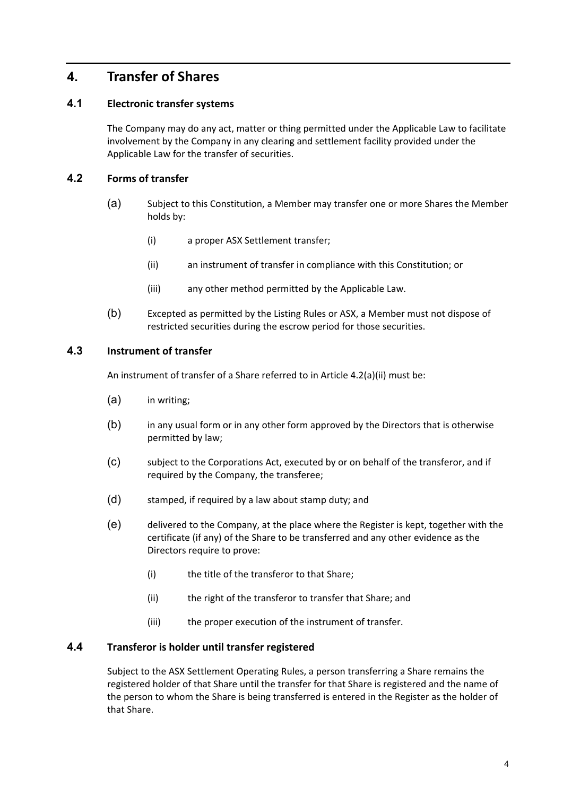## **4. Transfer of Shares**

### **4.1 Electronic transfer systems**

The Company may do any act, matter or thing permitted under the Applicable Law to facilitate involvement by the Company in any clearing and settlement facility provided under the Applicable Law for the transfer of securities.

### **4.2 Forms of transfer**

- (a) Subject to this Constitution, a Member may transfer one or more Shares the Member holds by:
	- (i) a proper ASX Settlement transfer;
	- (ii) an instrument of transfer in compliance with this Constitution; or
	- (iii) any other method permitted by the Applicable Law.
- (b) Excepted as permitted by the Listing Rules or ASX, a Member must not dispose of restricted securities during the escrow period for those securities.

### **4.3 Instrument of transfer**

An instrument of transfer of a Share referred to in Article 4.2(a)(ii) must be:

- (a) in writing;
- (b) in any usual form or in any other form approved by the Directors that is otherwise permitted by law;
- (c) subject to the Corporations Act, executed by or on behalf of the transferor, and if required by the Company, the transferee;
- (d) stamped, if required by a law about stamp duty; and
- (e) delivered to the Company, at the place where the Register is kept, together with the certificate (if any) of the Share to be transferred and any other evidence as the Directors require to prove:
	- (i) the title of the transferor to that Share;
	- (ii) the right of the transferor to transfer that Share; and
	- (iii) the proper execution of the instrument of transfer.

#### **4.4 Transferor is holder until transfer registered**

Subject to the ASX Settlement Operating Rules, a person transferring a Share remains the registered holder of that Share until the transfer for that Share is registered and the name of the person to whom the Share is being transferred is entered in the Register as the holder of that Share.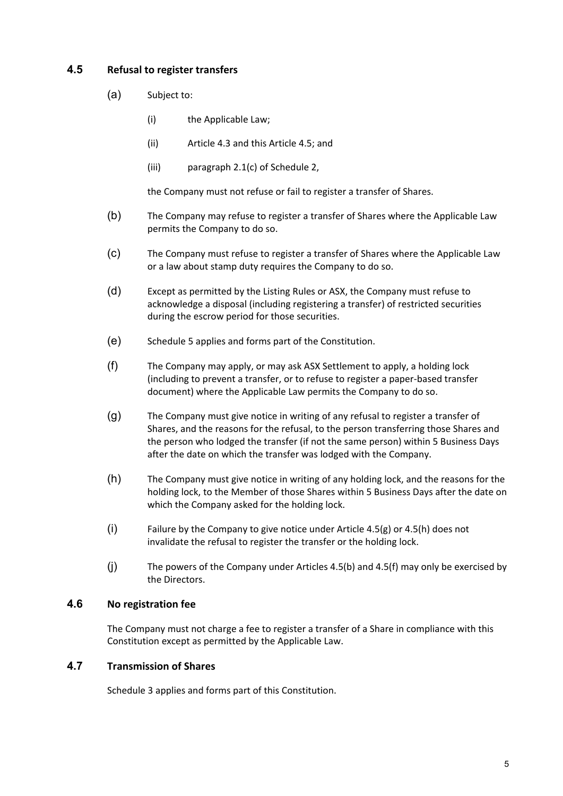## **4.5 Refusal to register transfers**

- (a) Subject to:
	- (i) the Applicable Law;
	- (ii) Article 4.3 and this Article 4.5; and
	- (iii) paragraph 2.1(c) of Schedule 2,

the Company must not refuse or fail to register a transfer of Shares.

- (b) The Company may refuse to register a transfer of Shares where the Applicable Law permits the Company to do so.
- (c) The Company must refuse to register a transfer of Shares where the Applicable Law or a law about stamp duty requires the Company to do so.
- (d) Except as permitted by the Listing Rules or ASX, the Company must refuse to acknowledge a disposal (including registering a transfer) of restricted securities during the escrow period for those securities.
- (e) Schedule 5 applies and forms part of the Constitution.
- (f) The Company may apply, or may ask ASX Settlement to apply, a holding lock (including to prevent a transfer, or to refuse to register a paper‐based transfer document) where the Applicable Law permits the Company to do so.
- (g) The Company must give notice in writing of any refusal to register a transfer of Shares, and the reasons for the refusal, to the person transferring those Shares and the person who lodged the transfer (if not the same person) within 5 Business Days after the date on which the transfer was lodged with the Company.
- (h) The Company must give notice in writing of any holding lock, and the reasons for the holding lock, to the Member of those Shares within 5 Business Days after the date on which the Company asked for the holding lock.
- (i) Failure by the Company to give notice under Article 4.5(g) or 4.5(h) does not invalidate the refusal to register the transfer or the holding lock.
- (j) The powers of the Company under Articles 4.5(b) and 4.5(f) may only be exercised by the Directors.

#### **4.6 No registration fee**

The Company must not charge a fee to register a transfer of a Share in compliance with this Constitution except as permitted by the Applicable Law.

### **4.7 Transmission of Shares**

Schedule 3 applies and forms part of this Constitution.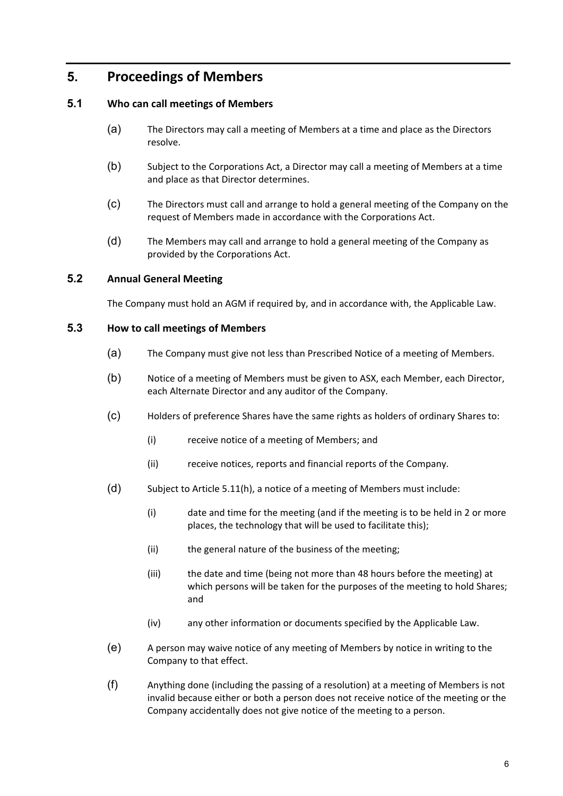## **5. Proceedings of Members**

### **5.1 Who can call meetings of Members**

- (a) The Directors may call a meeting of Members at a time and place as the Directors resolve.
- (b) Subject to the Corporations Act, a Director may call a meeting of Members at a time and place as that Director determines.
- (c) The Directors must call and arrange to hold a general meeting of the Company on the request of Members made in accordance with the Corporations Act.
- (d) The Members may call and arrange to hold a general meeting of the Company as provided by the Corporations Act.

### **5.2 Annual General Meeting**

The Company must hold an AGM if required by, and in accordance with, the Applicable Law.

#### **5.3 How to call meetings of Members**

- (a) The Company must give not less than Prescribed Notice of a meeting of Members.
- (b) Notice of a meeting of Members must be given to ASX, each Member, each Director, each Alternate Director and any auditor of the Company.
- (c) Holders of preference Shares have the same rights as holders of ordinary Shares to:
	- (i) receive notice of a meeting of Members; and
	- (ii) receive notices, reports and financial reports of the Company.
- (d) Subject to Article 5.11(h), a notice of a meeting of Members must include:
	- (i) date and time for the meeting (and if the meeting is to be held in 2 or more places, the technology that will be used to facilitate this);
	- (ii) the general nature of the business of the meeting;
	- (iii) the date and time (being not more than 48 hours before the meeting) at which persons will be taken for the purposes of the meeting to hold Shares; and
	- (iv) any other information or documents specified by the Applicable Law.
- (e) A person may waive notice of any meeting of Members by notice in writing to the Company to that effect.
- (f) Anything done (including the passing of a resolution) at a meeting of Members is not invalid because either or both a person does not receive notice of the meeting or the Company accidentally does not give notice of the meeting to a person.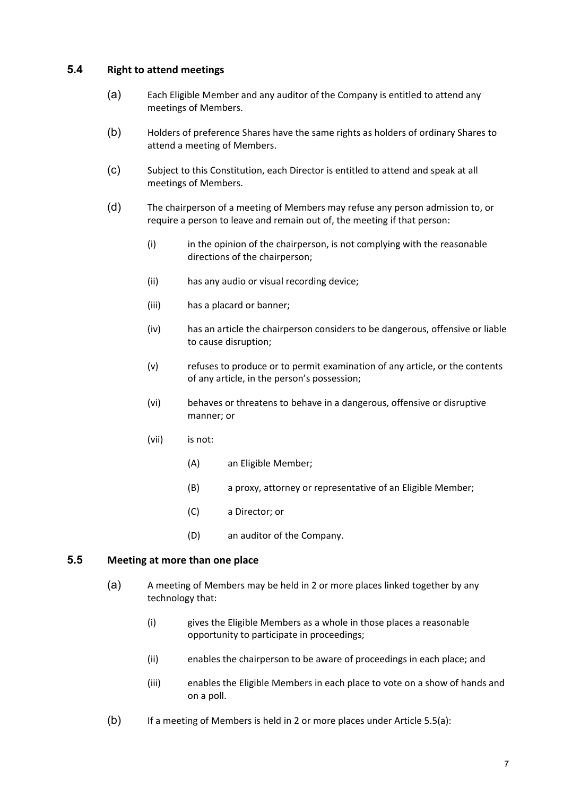### **5.4 Right to attend meetings**

- (a) Each Eligible Member and any auditor of the Company is entitled to attend any meetings of Members.
- (b) Holders of preference Shares have the same rights as holders of ordinary Shares to attend a meeting of Members.
- (c) Subject to this Constitution, each Director is entitled to attend and speak at all meetings of Members.
- (d) The chairperson of a meeting of Members may refuse any person admission to, or require a person to leave and remain out of, the meeting if that person:
	- (i) in the opinion of the chairperson, is not complying with the reasonable directions of the chairperson;
	- (ii) has any audio or visual recording device;
	- (iii) has a placard or banner;
	- (iv) has an article the chairperson considers to be dangerous, offensive or liable to cause disruption;
	- (v) refuses to produce or to permit examination of any article, or the contents of any article, in the person's possession;
	- (vi) behaves or threatens to behave in a dangerous, offensive or disruptive manner; or
	- (vii) is not:
		- (A) an Eligible Member;
		- (B) a proxy, attorney or representative of an Eligible Member;
		- (C) a Director; or
		- (D) an auditor of the Company.

#### **5.5 Meeting at more than one place**

- (a) A meeting of Members may be held in 2 or more places linked together by any technology that:
	- (i) gives the Eligible Members as a whole in those places a reasonable opportunity to participate in proceedings;
	- (ii) enables the chairperson to be aware of proceedings in each place; and
	- (iii) enables the Eligible Members in each place to vote on a show of hands and on a poll.
- (b) If a meeting of Members is held in 2 or more places under Article 5.5(a):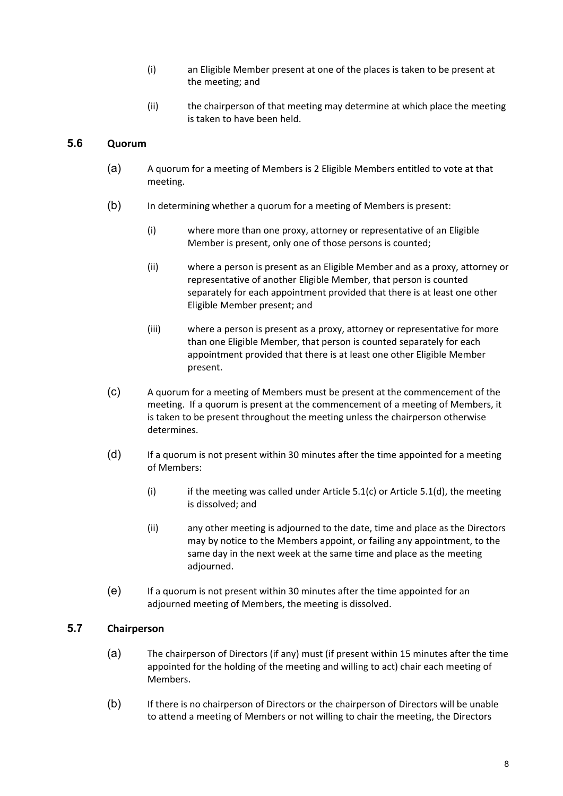- (i) an Eligible Member present at one of the places is taken to be present at the meeting; and
- (ii) the chairperson of that meeting may determine at which place the meeting is taken to have been held.

#### **5.6 Quorum**

- (a) A quorum for a meeting of Members is 2 Eligible Members entitled to vote at that meeting.
- (b) In determining whether a quorum for a meeting of Members is present:
	- (i) where more than one proxy, attorney or representative of an Eligible Member is present, only one of those persons is counted;
	- (ii) where a person is present as an Eligible Member and as a proxy, attorney or representative of another Eligible Member, that person is counted separately for each appointment provided that there is at least one other Eligible Member present; and
	- (iii) where a person is present as a proxy, attorney or representative for more than one Eligible Member, that person is counted separately for each appointment provided that there is at least one other Eligible Member present.
- (c) A quorum for a meeting of Members must be present at the commencement of the meeting. If a quorum is present at the commencement of a meeting of Members, it is taken to be present throughout the meeting unless the chairperson otherwise determines.
- (d) If a quorum is not present within 30 minutes after the time appointed for a meeting of Members:
	- (i) if the meeting was called under Article 5.1(c) or Article 5.1(d), the meeting is dissolved; and
	- (ii) any other meeting is adjourned to the date, time and place as the Directors may by notice to the Members appoint, or failing any appointment, to the same day in the next week at the same time and place as the meeting adjourned.
- (e) If a quorum is not present within 30 minutes after the time appointed for an adjourned meeting of Members, the meeting is dissolved.

#### **5.7 Chairperson**

- (a) The chairperson of Directors (if any) must (if present within 15 minutes after the time appointed for the holding of the meeting and willing to act) chair each meeting of Members.
- (b) If there is no chairperson of Directors or the chairperson of Directors will be unable to attend a meeting of Members or not willing to chair the meeting, the Directors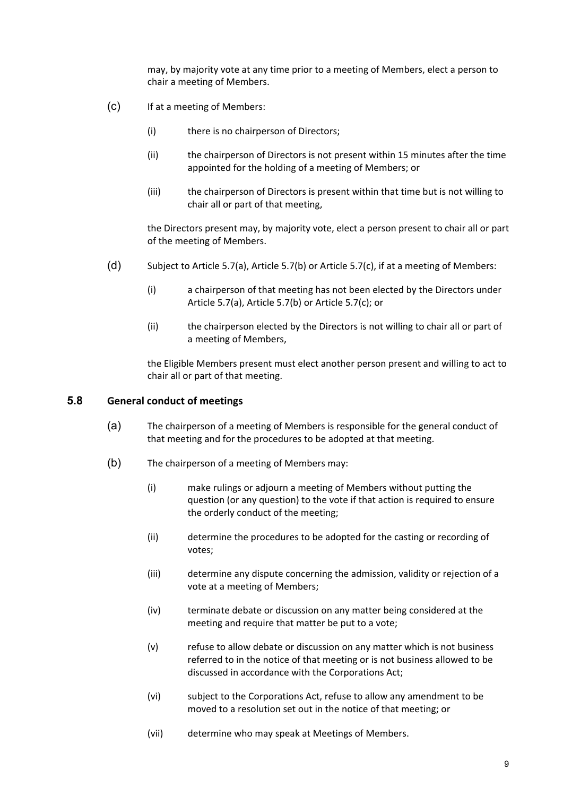may, by majority vote at any time prior to a meeting of Members, elect a person to chair a meeting of Members.

- (c) If at a meeting of Members:
	- (i) there is no chairperson of Directors;
	- (ii) the chairperson of Directors is not present within 15 minutes after the time appointed for the holding of a meeting of Members; or
	- (iii) the chairperson of Directors is present within that time but is not willing to chair all or part of that meeting,

the Directors present may, by majority vote, elect a person present to chair all or part of the meeting of Members.

- (d) Subject to Article 5.7(a), Article 5.7(b) or Article 5.7(c), if at a meeting of Members:
	- (i) a chairperson of that meeting has not been elected by the Directors under Article 5.7(a), Article 5.7(b) or Article 5.7(c); or
	- (ii) the chairperson elected by the Directors is not willing to chair all or part of a meeting of Members,

the Eligible Members present must elect another person present and willing to act to chair all or part of that meeting.

#### **5.8 General conduct of meetings**

- (a) The chairperson of a meeting of Members is responsible for the general conduct of that meeting and for the procedures to be adopted at that meeting.
- (b) The chairperson of a meeting of Members may:
	- (i) make rulings or adjourn a meeting of Members without putting the question (or any question) to the vote if that action is required to ensure the orderly conduct of the meeting;
	- (ii) determine the procedures to be adopted for the casting or recording of votes;
	- (iii) determine any dispute concerning the admission, validity or rejection of a vote at a meeting of Members;
	- (iv) terminate debate or discussion on any matter being considered at the meeting and require that matter be put to a vote;
	- (v) refuse to allow debate or discussion on any matter which is not business referred to in the notice of that meeting or is not business allowed to be discussed in accordance with the Corporations Act;
	- (vi) subject to the Corporations Act, refuse to allow any amendment to be moved to a resolution set out in the notice of that meeting; or
	- (vii) determine who may speak at Meetings of Members.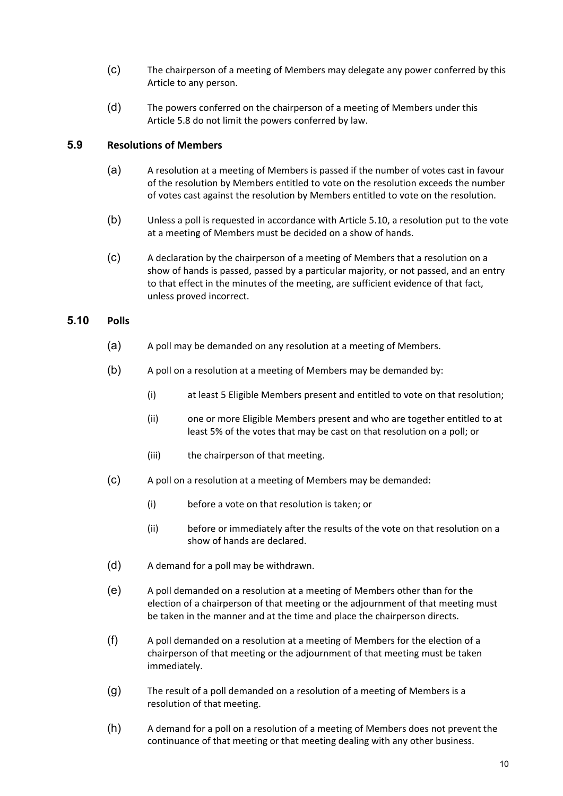- (c) The chairperson of a meeting of Members may delegate any power conferred by this Article to any person.
- (d) The powers conferred on the chairperson of a meeting of Members under this Article 5.8 do not limit the powers conferred by law.

#### **5.9 Resolutions of Members**

- (a) A resolution at a meeting of Members is passed if the number of votes cast in favour of the resolution by Members entitled to vote on the resolution exceeds the number of votes cast against the resolution by Members entitled to vote on the resolution.
- (b) Unless a poll is requested in accordance with Article 5.10, a resolution put to the vote at a meeting of Members must be decided on a show of hands.
- (c) A declaration by the chairperson of a meeting of Members that a resolution on a show of hands is passed, passed by a particular majority, or not passed, and an entry to that effect in the minutes of the meeting, are sufficient evidence of that fact, unless proved incorrect.

### **5.10 Polls**

- (a) A poll may be demanded on any resolution at a meeting of Members.
- (b) A poll on a resolution at a meeting of Members may be demanded by:
	- (i) at least 5 Eligible Members present and entitled to vote on that resolution;
	- (ii) one or more Eligible Members present and who are together entitled to at least 5% of the votes that may be cast on that resolution on a poll; or
	- (iii) the chairperson of that meeting.
- (c) A poll on a resolution at a meeting of Members may be demanded:
	- (i) before a vote on that resolution is taken; or
	- (ii) before or immediately after the results of the vote on that resolution on a show of hands are declared.
- (d) A demand for a poll may be withdrawn.
- (e) A poll demanded on a resolution at a meeting of Members other than for the election of a chairperson of that meeting or the adjournment of that meeting must be taken in the manner and at the time and place the chairperson directs.
- (f) A poll demanded on a resolution at a meeting of Members for the election of a chairperson of that meeting or the adjournment of that meeting must be taken immediately.
- (g) The result of a poll demanded on a resolution of a meeting of Members is a resolution of that meeting.
- (h) A demand for a poll on a resolution of a meeting of Members does not prevent the continuance of that meeting or that meeting dealing with any other business.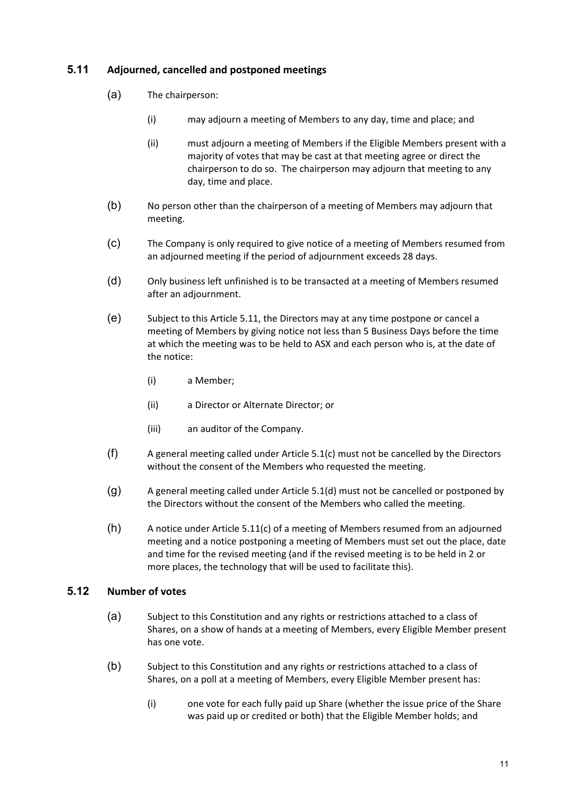## **5.11 Adjourned, cancelled and postponed meetings**

- (a) The chairperson:
	- (i) may adjourn a meeting of Members to any day, time and place; and
	- (ii) must adjourn a meeting of Members if the Eligible Members present with a majority of votes that may be cast at that meeting agree or direct the chairperson to do so. The chairperson may adjourn that meeting to any day, time and place.
- (b) No person other than the chairperson of a meeting of Members may adjourn that meeting.
- (c) The Company is only required to give notice of a meeting of Members resumed from an adjourned meeting if the period of adjournment exceeds 28 days.
- (d) Only business left unfinished is to be transacted at a meeting of Members resumed after an adjournment.
- (e) Subject to this Article 5.11, the Directors may at any time postpone or cancel a meeting of Members by giving notice not less than 5 Business Days before the time at which the meeting was to be held to ASX and each person who is, at the date of the notice:
	- (i) a Member;
	- (ii) a Director or Alternate Director; or
	- (iii) an auditor of the Company.
- (f) A general meeting called under Article 5.1(c) must not be cancelled by the Directors without the consent of the Members who requested the meeting.
- (g) A general meeting called under Article 5.1(d) must not be cancelled or postponed by the Directors without the consent of the Members who called the meeting.
- (h) A notice under Article 5.11(c) of a meeting of Members resumed from an adjourned meeting and a notice postponing a meeting of Members must set out the place, date and time for the revised meeting (and if the revised meeting is to be held in 2 or more places, the technology that will be used to facilitate this).

## **5.12 Number of votes**

- (a) Subject to this Constitution and any rights or restrictions attached to a class of Shares, on a show of hands at a meeting of Members, every Eligible Member present has one vote.
- (b) Subject to this Constitution and any rights or restrictions attached to a class of Shares, on a poll at a meeting of Members, every Eligible Member present has:
	- (i) one vote for each fully paid up Share (whether the issue price of the Share was paid up or credited or both) that the Eligible Member holds; and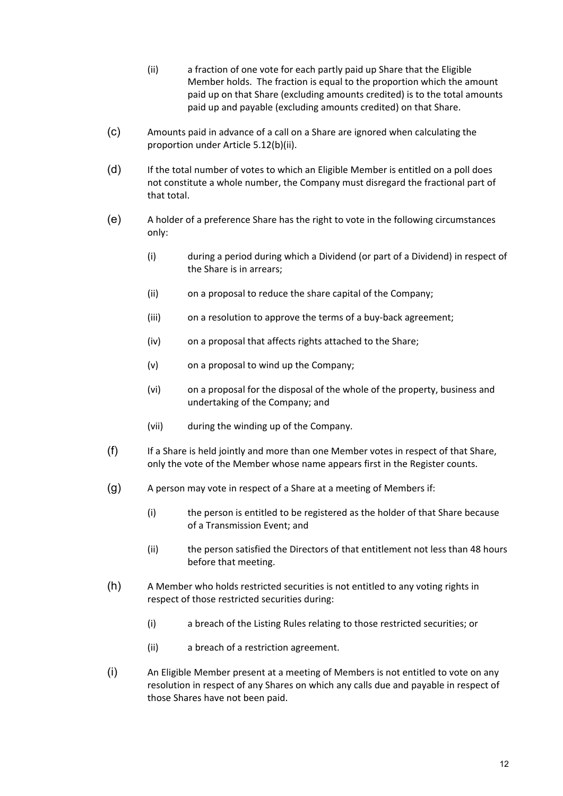- (ii) a fraction of one vote for each partly paid up Share that the Eligible Member holds. The fraction is equal to the proportion which the amount paid up on that Share (excluding amounts credited) is to the total amounts paid up and payable (excluding amounts credited) on that Share.
- (c) Amounts paid in advance of a call on a Share are ignored when calculating the proportion under Article 5.12(b)(ii).
- (d) If the total number of votes to which an Eligible Member is entitled on a poll does not constitute a whole number, the Company must disregard the fractional part of that total.
- (e) A holder of a preference Share has the right to vote in the following circumstances only:
	- (i) during a period during which a Dividend (or part of a Dividend) in respect of the Share is in arrears;
	- (ii) on a proposal to reduce the share capital of the Company;
	- (iii) on a resolution to approve the terms of a buy‐back agreement;
	- (iv) on a proposal that affects rights attached to the Share;
	- (v) on a proposal to wind up the Company;
	- (vi) on a proposal for the disposal of the whole of the property, business and undertaking of the Company; and
	- (vii) during the winding up of the Company.
- (f) If a Share is held jointly and more than one Member votes in respect of that Share, only the vote of the Member whose name appears first in the Register counts.
- (g) A person may vote in respect of a Share at a meeting of Members if:
	- (i) the person is entitled to be registered as the holder of that Share because of a Transmission Event; and
	- (ii) the person satisfied the Directors of that entitlement not less than 48 hours before that meeting.
- (h) A Member who holds restricted securities is not entitled to any voting rights in respect of those restricted securities during:
	- (i) a breach of the Listing Rules relating to those restricted securities; or
	- (ii) a breach of a restriction agreement.
- (i) An Eligible Member present at a meeting of Members is not entitled to vote on any resolution in respect of any Shares on which any calls due and payable in respect of those Shares have not been paid.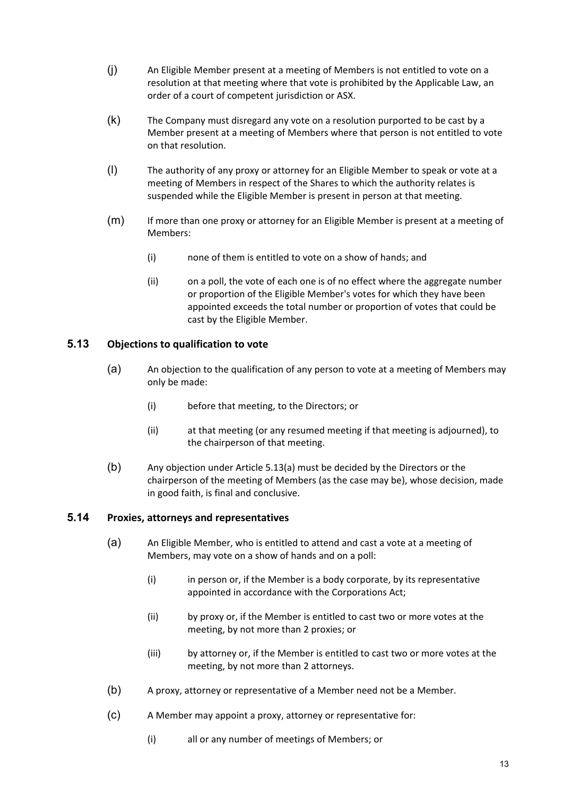- (j) An Eligible Member present at a meeting of Members is not entitled to vote on a resolution at that meeting where that vote is prohibited by the Applicable Law, an order of a court of competent jurisdiction or ASX.
- (k) The Company must disregard any vote on a resolution purported to be cast by a Member present at a meeting of Members where that person is not entitled to vote on that resolution.
- (l) The authority of any proxy or attorney for an Eligible Member to speak or vote at a meeting of Members in respect of the Shares to which the authority relates is suspended while the Eligible Member is present in person at that meeting.
- (m) If more than one proxy or attorney for an Eligible Member is present at a meeting of Members:
	- (i) none of them is entitled to vote on a show of hands; and
	- (ii) on a poll, the vote of each one is of no effect where the aggregate number or proportion of the Eligible Member's votes for which they have been appointed exceeds the total number or proportion of votes that could be cast by the Eligible Member.

## **5.13 Objections to qualification to vote**

- (a) An objection to the qualification of any person to vote at a meeting of Members may only be made:
	- (i) before that meeting, to the Directors; or
	- (ii) at that meeting (or any resumed meeting if that meeting is adjourned), to the chairperson of that meeting.
- (b) Any objection under Article 5.13(a) must be decided by the Directors or the chairperson of the meeting of Members (as the case may be), whose decision, made in good faith, is final and conclusive.

## **5.14 Proxies, attorneys and representatives**

- (a) An Eligible Member, who is entitled to attend and cast a vote at a meeting of Members, may vote on a show of hands and on a poll:
	- (i) in person or, if the Member is a body corporate, by its representative appointed in accordance with the Corporations Act;
	- (ii) by proxy or, if the Member is entitled to cast two or more votes at the meeting, by not more than 2 proxies; or
	- (iii) by attorney or, if the Member is entitled to cast two or more votes at the meeting, by not more than 2 attorneys.
- (b) A proxy, attorney or representative of a Member need not be a Member.
- (c) A Member may appoint a proxy, attorney or representative for:
	- (i) all or any number of meetings of Members; or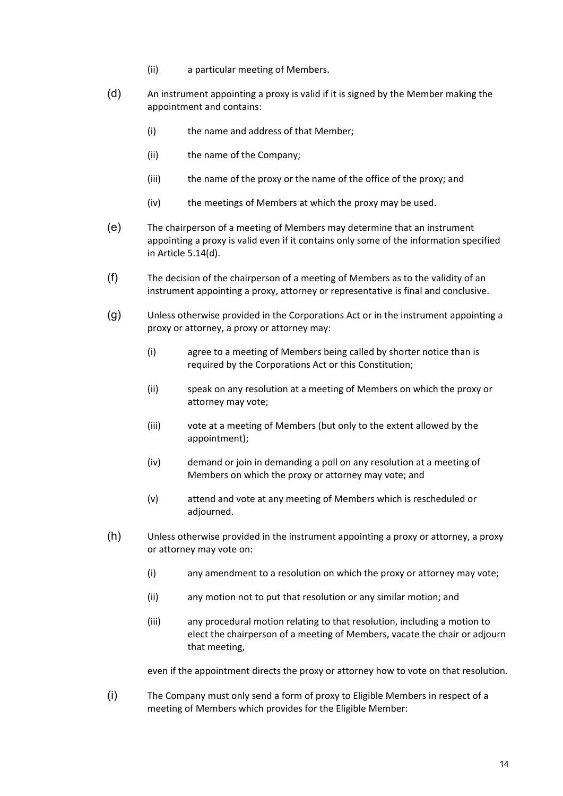- (ii) a particular meeting of Members.
- (d) An instrument appointing a proxy is valid if it is signed by the Member making the appointment and contains:
	- (i) the name and address of that Member;
	- (ii) the name of the Company;
	- (iii) the name of the proxy or the name of the office of the proxy; and
	- (iv) the meetings of Members at which the proxy may be used.
- (e) The chairperson of a meeting of Members may determine that an instrument appointing a proxy is valid even if it contains only some of the information specified in Article 5.14(d).
- (f) The decision of the chairperson of a meeting of Members as to the validity of an instrument appointing a proxy, attorney or representative is final and conclusive.
- (g) Unless otherwise provided in the Corporations Act or in the instrument appointing a proxy or attorney, a proxy or attorney may:
	- (i) agree to a meeting of Members being called by shorter notice than is required by the Corporations Act or this Constitution;
	- (ii) speak on any resolution at a meeting of Members on which the proxy or attorney may vote;
	- (iii) vote at a meeting of Members (but only to the extent allowed by the appointment);
	- (iv) demand or join in demanding a poll on any resolution at a meeting of Members on which the proxy or attorney may vote; and
	- (v) attend and vote at any meeting of Members which is rescheduled or adjourned.
- (h) Unless otherwise provided in the instrument appointing a proxy or attorney, a proxy or attorney may vote on:
	- (i) any amendment to a resolution on which the proxy or attorney may vote;
	- (ii) any motion not to put that resolution or any similar motion; and
	- (iii) any procedural motion relating to that resolution, including a motion to elect the chairperson of a meeting of Members, vacate the chair or adjourn that meeting,

even if the appointment directs the proxy or attorney how to vote on that resolution.

(i) The Company must only send a form of proxy to Eligible Members in respect of a meeting of Members which provides for the Eligible Member: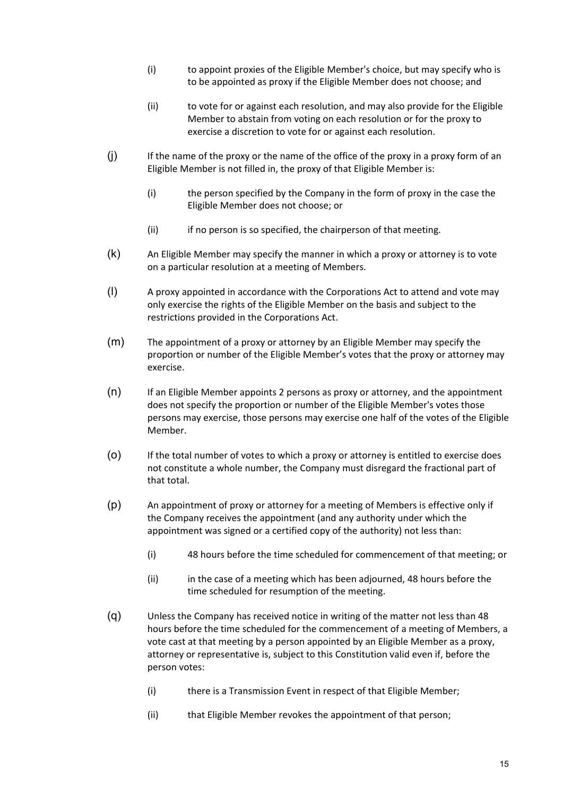- (i) to appoint proxies of the Eligible Member's choice, but may specify who is to be appointed as proxy if the Eligible Member does not choose; and
- (ii) to vote for or against each resolution, and may also provide for the Eligible Member to abstain from voting on each resolution or for the proxy to exercise a discretion to vote for or against each resolution.
- (j) If the name of the proxy or the name of the office of the proxy in a proxy form of an Eligible Member is not filled in, the proxy of that Eligible Member is:
	- (i) the person specified by the Company in the form of proxy in the case the Eligible Member does not choose; or
	- (ii) if no person is so specified, the chairperson of that meeting.
- (k) An Eligible Member may specify the manner in which a proxy or attorney is to vote on a particular resolution at a meeting of Members.
- (l) A proxy appointed in accordance with the Corporations Act to attend and vote may only exercise the rights of the Eligible Member on the basis and subject to the restrictions provided in the Corporations Act.
- (m) The appointment of a proxy or attorney by an Eligible Member may specify the proportion or number of the Eligible Member's votes that the proxy or attorney may exercise.
- (n) If an Eligible Member appoints 2 persons as proxy or attorney, and the appointment does not specify the proportion or number of the Eligible Member's votes those persons may exercise, those persons may exercise one half of the votes of the Eligible Member.
- (o) If the total number of votes to which a proxy or attorney is entitled to exercise does not constitute a whole number, the Company must disregard the fractional part of that total.
- (p) An appointment of proxy or attorney for a meeting of Members is effective only if the Company receives the appointment (and any authority under which the appointment was signed or a certified copy of the authority) not less than:
	- (i) 48 hours before the time scheduled for commencement of that meeting; or
	- (ii) in the case of a meeting which has been adjourned, 48 hours before the time scheduled for resumption of the meeting.
- (q) Unless the Company has received notice in writing of the matter not less than 48 hours before the time scheduled for the commencement of a meeting of Members, a vote cast at that meeting by a person appointed by an Eligible Member as a proxy, attorney or representative is, subject to this Constitution valid even if, before the person votes:
	- (i) there is a Transmission Event in respect of that Eligible Member;
	- (ii) that Eligible Member revokes the appointment of that person;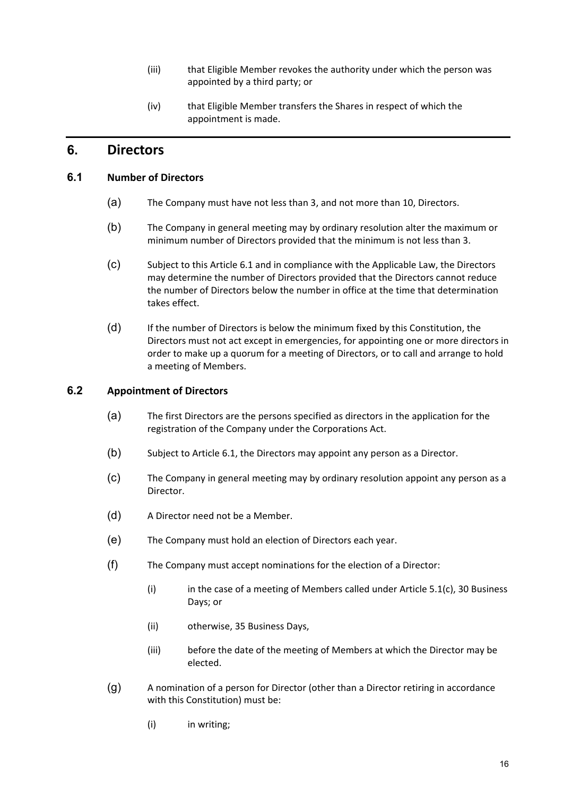- (iii) that Eligible Member revokes the authority under which the person was appointed by a third party; or
- (iv) that Eligible Member transfers the Shares in respect of which the appointment is made.

## **6. Directors**

#### **6.1 Number of Directors**

- (a) The Company must have not less than 3, and not more than 10, Directors.
- (b) The Company in general meeting may by ordinary resolution alter the maximum or minimum number of Directors provided that the minimum is not less than 3.
- (c) Subject to this Article 6.1 and in compliance with the Applicable Law, the Directors may determine the number of Directors provided that the Directors cannot reduce the number of Directors below the number in office at the time that determination takes effect.
- (d) If the number of Directors is below the minimum fixed by this Constitution, the Directors must not act except in emergencies, for appointing one or more directors in order to make up a quorum for a meeting of Directors, or to call and arrange to hold a meeting of Members.

#### **6.2 Appointment of Directors**

- (a) The first Directors are the persons specified as directors in the application for the registration of the Company under the Corporations Act.
- (b) Subject to Article 6.1, the Directors may appoint any person as a Director.
- (c) The Company in general meeting may by ordinary resolution appoint any person as a Director.
- (d) A Director need not be a Member.
- (e) The Company must hold an election of Directors each year.
- (f) The Company must accept nominations for the election of a Director:
	- (i) in the case of a meeting of Members called under Article  $5.1(c)$ , 30 Business Days; or
	- (ii) otherwise, 35 Business Days,
	- (iii) before the date of the meeting of Members at which the Director may be elected.
- (g) A nomination of a person for Director (other than a Director retiring in accordance with this Constitution) must be:
	- (i) in writing;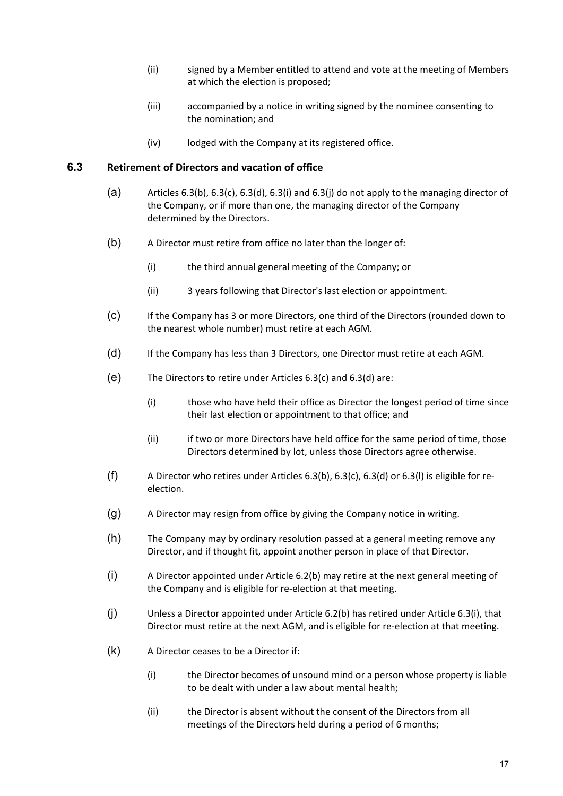- (ii) signed by a Member entitled to attend and vote at the meeting of Members at which the election is proposed;
- (iii) accompanied by a notice in writing signed by the nominee consenting to the nomination; and
- (iv) lodged with the Company at its registered office.

#### **6.3 Retirement of Directors and vacation of office**

- (a) Articles 6.3(b), 6.3(c), 6.3(d), 6.3(i) and 6.3(j) do not apply to the managing director of the Company, or if more than one, the managing director of the Company determined by the Directors.
- (b) A Director must retire from office no later than the longer of:
	- (i) the third annual general meeting of the Company; or
	- (ii) 3 years following that Director's last election or appointment.
- (c) If the Company has 3 or more Directors, one third of the Directors (rounded down to the nearest whole number) must retire at each AGM.
- (d) If the Company has less than 3 Directors, one Director must retire at each AGM.
- (e) The Directors to retire under Articles 6.3(c) and 6.3(d) are:
	- (i) those who have held their office as Director the longest period of time since their last election or appointment to that office; and
	- (ii) if two or more Directors have held office for the same period of time, those Directors determined by lot, unless those Directors agree otherwise.
- (f) A Director who retires under Articles 6.3(b), 6.3(c), 6.3(d) or 6.3(l) is eligible for re‐ election.
- (g) A Director may resign from office by giving the Company notice in writing.
- (h) The Company may by ordinary resolution passed at a general meeting remove any Director, and if thought fit, appoint another person in place of that Director.
- (i) A Director appointed under Article 6.2(b) may retire at the next general meeting of the Company and is eligible for re-election at that meeting.
- (j) Unless a Director appointed under Article 6.2(b) has retired under Article 6.3(i), that Director must retire at the next AGM, and is eligible for re‐election at that meeting.
- (k) A Director ceases to be a Director if:
	- (i) the Director becomes of unsound mind or a person whose property is liable to be dealt with under a law about mental health;
	- (ii) the Director is absent without the consent of the Directors from all meetings of the Directors held during a period of 6 months;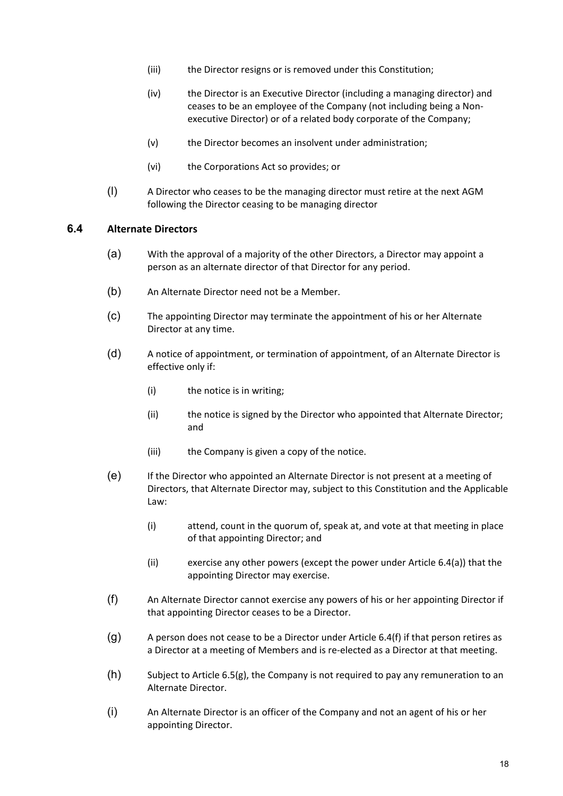- (iii) the Director resigns or is removed under this Constitution;
- (iv) the Director is an Executive Director (including a managing director) and ceases to be an employee of the Company (not including being a Non‐ executive Director) or of a related body corporate of the Company;
- (v) the Director becomes an insolvent under administration;
- (vi) the Corporations Act so provides; or
- (l) A Director who ceases to be the managing director must retire at the next AGM following the Director ceasing to be managing director

#### **6.4 Alternate Directors**

- (a) With the approval of a majority of the other Directors, a Director may appoint a person as an alternate director of that Director for any period.
- (b) An Alternate Director need not be a Member.
- (c) The appointing Director may terminate the appointment of his or her Alternate Director at any time.
- (d) A notice of appointment, or termination of appointment, of an Alternate Director is effective only if:
	- (i) the notice is in writing;
	- (ii) the notice is signed by the Director who appointed that Alternate Director; and
	- (iii) the Company is given a copy of the notice.
- (e) If the Director who appointed an Alternate Director is not present at a meeting of Directors, that Alternate Director may, subject to this Constitution and the Applicable Law:
	- (i) attend, count in the quorum of, speak at, and vote at that meeting in place of that appointing Director; and
	- (ii) exercise any other powers (except the power under Article 6.4(a)) that the appointing Director may exercise.
- (f) An Alternate Director cannot exercise any powers of his or her appointing Director if that appointing Director ceases to be a Director.
- $(q)$  A person does not cease to be a Director under Article 6.4(f) if that person retires as a Director at a meeting of Members and is re‐elected as a Director at that meeting.
- $(h)$  Subject to Article 6.5(g), the Company is not required to pay any remuneration to an Alternate Director.
- (i) An Alternate Director is an officer of the Company and not an agent of his or her appointing Director.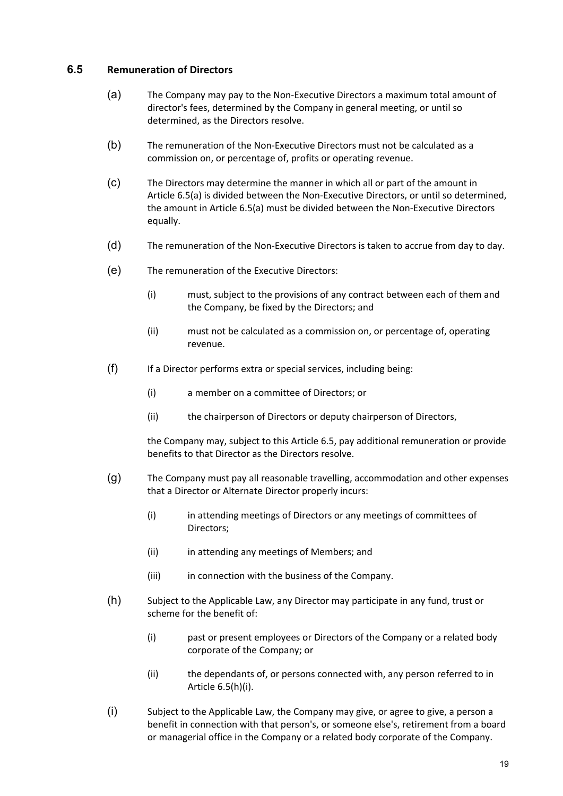### **6.5 Remuneration of Directors**

- (a) The Company may pay to the Non‐Executive Directors a maximum total amount of director's fees, determined by the Company in general meeting, or until so determined, as the Directors resolve.
- (b) The remuneration of the Non‐Executive Directors must not be calculated as a commission on, or percentage of, profits or operating revenue.
- (c) The Directors may determine the manner in which all or part of the amount in Article 6.5(a) is divided between the Non‐Executive Directors, or until so determined, the amount in Article 6.5(a) must be divided between the Non‐Executive Directors equally.
- (d) The remuneration of the Non‐Executive Directors is taken to accrue from day to day.
- (e) The remuneration of the Executive Directors:
	- (i) must, subject to the provisions of any contract between each of them and the Company, be fixed by the Directors; and
	- (ii) must not be calculated as a commission on, or percentage of, operating revenue.
- (f) If a Director performs extra or special services, including being:
	- (i) a member on a committee of Directors; or
	- (ii) the chairperson of Directors or deputy chairperson of Directors,

the Company may, subject to this Article 6.5, pay additional remuneration or provide benefits to that Director as the Directors resolve.

- (g) The Company must pay all reasonable travelling, accommodation and other expenses that a Director or Alternate Director properly incurs:
	- (i) in attending meetings of Directors or any meetings of committees of Directors;
	- (ii) in attending any meetings of Members; and
	- (iii) in connection with the business of the Company.
- (h) Subject to the Applicable Law, any Director may participate in any fund, trust or scheme for the benefit of:
	- (i) past or present employees or Directors of the Company or a related body corporate of the Company; or
	- (ii) the dependants of, or persons connected with, any person referred to in Article 6.5(h)(i).
- (i) Subject to the Applicable Law, the Company may give, or agree to give, a person a benefit in connection with that person's, or someone else's, retirement from a board or managerial office in the Company or a related body corporate of the Company.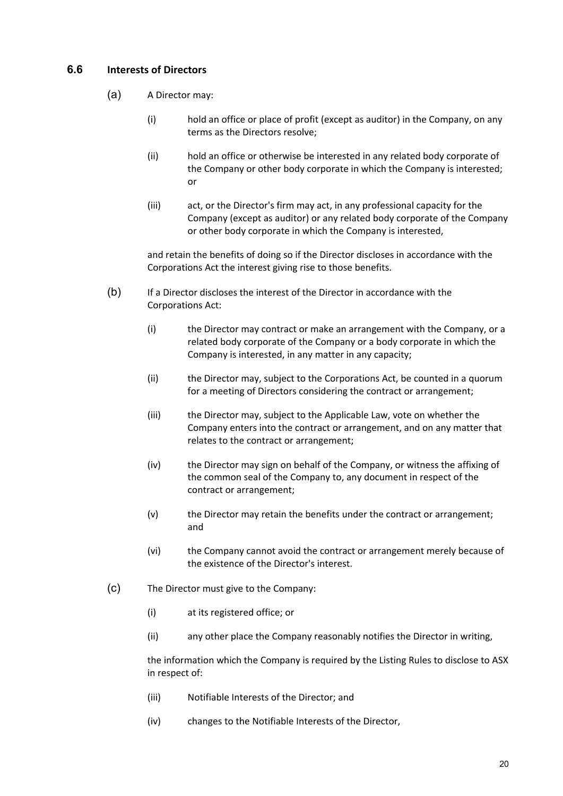## **6.6 Interests of Directors**

- (a) A Director may:
	- (i) hold an office or place of profit (except as auditor) in the Company, on any terms as the Directors resolve;
	- (ii) hold an office or otherwise be interested in any related body corporate of the Company or other body corporate in which the Company is interested; or
	- (iii) act, or the Director's firm may act, in any professional capacity for the Company (except as auditor) or any related body corporate of the Company or other body corporate in which the Company is interested,

and retain the benefits of doing so if the Director discloses in accordance with the Corporations Act the interest giving rise to those benefits.

- (b) If a Director discloses the interest of the Director in accordance with the Corporations Act:
	- (i) the Director may contract or make an arrangement with the Company, or a related body corporate of the Company or a body corporate in which the Company is interested, in any matter in any capacity;
	- (ii) the Director may, subject to the Corporations Act, be counted in a quorum for a meeting of Directors considering the contract or arrangement;
	- (iii) the Director may, subject to the Applicable Law, vote on whether the Company enters into the contract or arrangement, and on any matter that relates to the contract or arrangement;
	- (iv) the Director may sign on behalf of the Company, or witness the affixing of the common seal of the Company to, any document in respect of the contract or arrangement;
	- (v) the Director may retain the benefits under the contract or arrangement; and
	- (vi) the Company cannot avoid the contract or arrangement merely because of the existence of the Director's interest.
- (c) The Director must give to the Company:
	- (i) at its registered office; or
	- (ii) any other place the Company reasonably notifies the Director in writing,

the information which the Company is required by the Listing Rules to disclose to ASX in respect of:

- (iii) Notifiable Interests of the Director; and
- (iv) changes to the Notifiable Interests of the Director,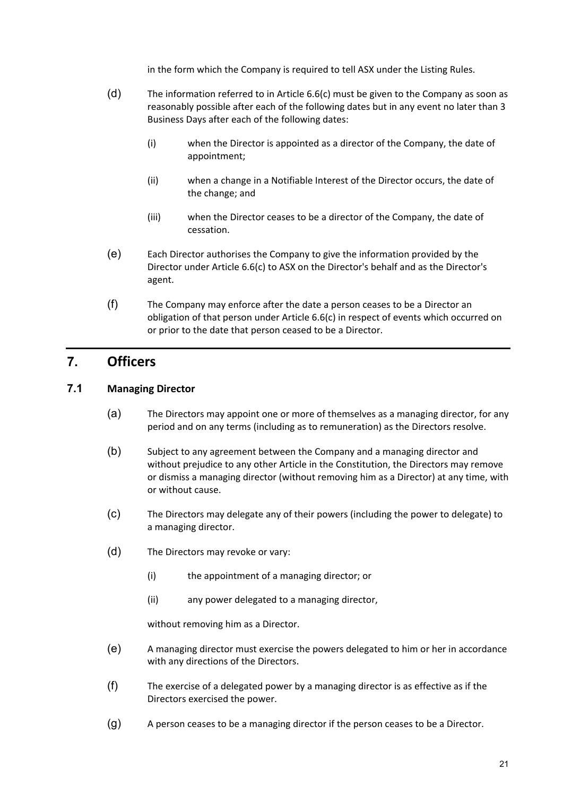in the form which the Company is required to tell ASX under the Listing Rules.

- (d) The information referred to in Article 6.6(c) must be given to the Company as soon as reasonably possible after each of the following dates but in any event no later than 3 Business Days after each of the following dates:
	- (i) when the Director is appointed as a director of the Company, the date of appointment;
	- (ii) when a change in a Notifiable Interest of the Director occurs, the date of the change; and
	- (iii) when the Director ceases to be a director of the Company, the date of cessation.
- (e) Each Director authorises the Company to give the information provided by the Director under Article 6.6(c) to ASX on the Director's behalf and as the Director's agent.
- (f) The Company may enforce after the date a person ceases to be a Director an obligation of that person under Article 6.6(c) in respect of events which occurred on or prior to the date that person ceased to be a Director.

## **7. Officers**

### **7.1 Managing Director**

- (a) The Directors may appoint one or more of themselves as a managing director, for any period and on any terms (including as to remuneration) as the Directors resolve.
- (b) Subject to any agreement between the Company and a managing director and without prejudice to any other Article in the Constitution, the Directors may remove or dismiss a managing director (without removing him as a Director) at any time, with or without cause.
- (c) The Directors may delegate any of their powers (including the power to delegate) to a managing director.
- (d) The Directors may revoke or vary:
	- (i) the appointment of a managing director; or
	- (ii) any power delegated to a managing director,

without removing him as a Director.

- (e) A managing director must exercise the powers delegated to him or her in accordance with any directions of the Directors.
- (f) The exercise of a delegated power by a managing director is as effective as if the Directors exercised the power.
- (g) A person ceases to be a managing director if the person ceases to be a Director.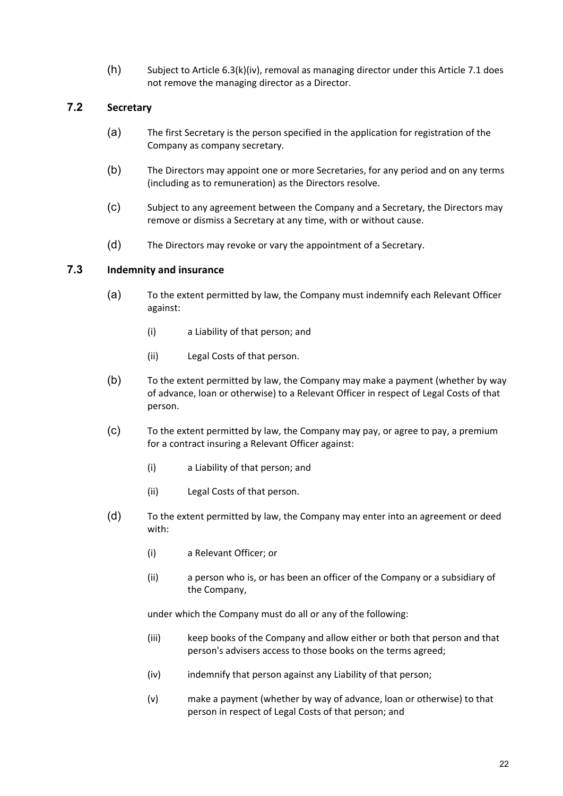(h) Subject to Article 6.3(k)(iv), removal as managing director under this Article 7.1 does not remove the managing director as a Director.

#### **7.2 Secretary**

- (a) The first Secretary is the person specified in the application for registration of the Company as company secretary.
- (b) The Directors may appoint one or more Secretaries, for any period and on any terms (including as to remuneration) as the Directors resolve.
- (c) Subject to any agreement between the Company and a Secretary, the Directors may remove or dismiss a Secretary at any time, with or without cause.
- (d) The Directors may revoke or vary the appointment of a Secretary.

#### **7.3 Indemnity and insurance**

- (a) To the extent permitted by law, the Company must indemnify each Relevant Officer against:
	- (i) a Liability of that person; and
	- (ii) Legal Costs of that person.
- (b) To the extent permitted by law, the Company may make a payment (whether by way of advance, loan or otherwise) to a Relevant Officer in respect of Legal Costs of that person.
- (c) To the extent permitted by law, the Company may pay, or agree to pay, a premium for a contract insuring a Relevant Officer against:
	- (i) a Liability of that person; and
	- (ii) Legal Costs of that person.
- (d) To the extent permitted by law, the Company may enter into an agreement or deed with:
	- (i) a Relevant Officer; or
	- (ii) a person who is, or has been an officer of the Company or a subsidiary of the Company,

under which the Company must do all or any of the following:

- (iii) keep books of the Company and allow either or both that person and that person's advisers access to those books on the terms agreed;
- (iv) indemnify that person against any Liability of that person;
- (v) make a payment (whether by way of advance, loan or otherwise) to that person in respect of Legal Costs of that person; and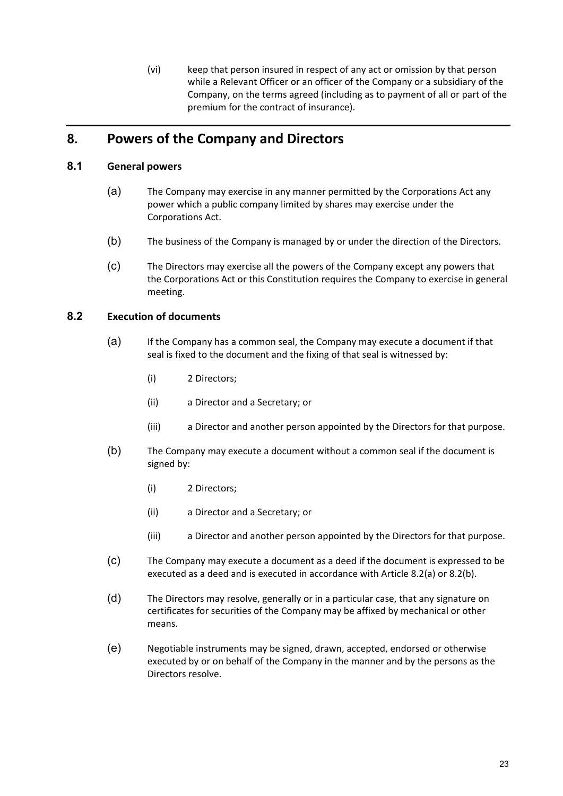(vi) keep that person insured in respect of any act or omission by that person while a Relevant Officer or an officer of the Company or a subsidiary of the Company, on the terms agreed (including as to payment of all or part of the premium for the contract of insurance).

## **8. Powers of the Company and Directors**

## **8.1 General powers**

- (a) The Company may exercise in any manner permitted by the Corporations Act any power which a public company limited by shares may exercise under the Corporations Act.
- (b) The business of the Company is managed by or under the direction of the Directors.
- (c) The Directors may exercise all the powers of the Company except any powers that the Corporations Act or this Constitution requires the Company to exercise in general meeting.

### **8.2 Execution of documents**

- (a) If the Company has a common seal, the Company may execute a document if that seal is fixed to the document and the fixing of that seal is witnessed by:
	- (i) 2 Directors;
	- (ii) a Director and a Secretary; or
	- (iii) a Director and another person appointed by the Directors for that purpose.
- (b) The Company may execute a document without a common seal if the document is signed by:
	- (i) 2 Directors;
	- (ii) a Director and a Secretary; or
	- (iii) a Director and another person appointed by the Directors for that purpose.
- (c) The Company may execute a document as a deed if the document is expressed to be executed as a deed and is executed in accordance with Article 8.2(a) or 8.2(b).
- (d) The Directors may resolve, generally or in a particular case, that any signature on certificates for securities of the Company may be affixed by mechanical or other means.
- (e) Negotiable instruments may be signed, drawn, accepted, endorsed or otherwise executed by or on behalf of the Company in the manner and by the persons as the Directors resolve.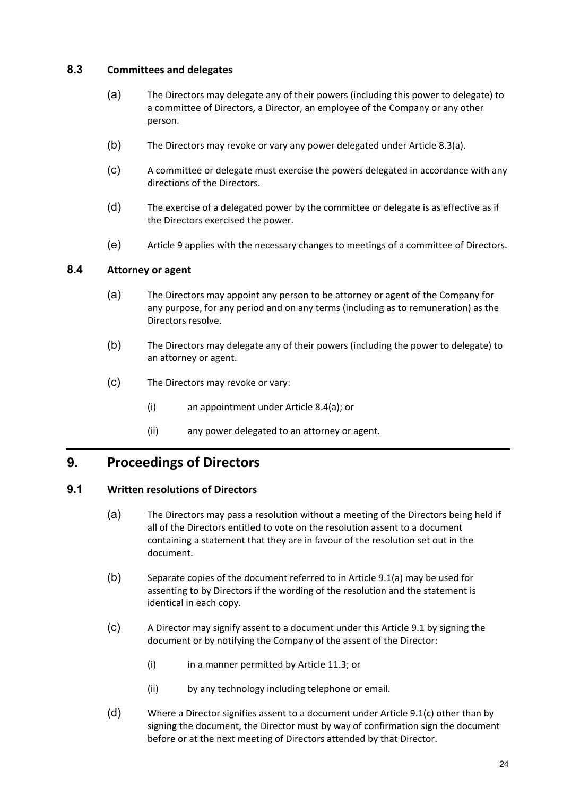### **8.3 Committees and delegates**

- (a) The Directors may delegate any of their powers (including this power to delegate) to a committee of Directors, a Director, an employee of the Company or any other person.
- (b) The Directors may revoke or vary any power delegated under Article 8.3(a).
- (c) A committee or delegate must exercise the powers delegated in accordance with any directions of the Directors.
- (d) The exercise of a delegated power by the committee or delegate is as effective as if the Directors exercised the power.
- (e) Article 9 applies with the necessary changes to meetings of a committee of Directors.

#### **8.4 Attorney or agent**

- (a) The Directors may appoint any person to be attorney or agent of the Company for any purpose, for any period and on any terms (including as to remuneration) as the Directors resolve.
- (b) The Directors may delegate any of their powers (including the power to delegate) to an attorney or agent.
- (c) The Directors may revoke or vary:
	- (i) an appointment under Article 8.4(a); or
	- (ii) any power delegated to an attorney or agent.

## **9. Proceedings of Directors**

#### **9.1 Written resolutions of Directors**

- (a) The Directors may pass a resolution without a meeting of the Directors being held if all of the Directors entitled to vote on the resolution assent to a document containing a statement that they are in favour of the resolution set out in the document.
- (b) Separate copies of the document referred to in Article 9.1(a) may be used for assenting to by Directors if the wording of the resolution and the statement is identical in each copy.
- (c) A Director may signify assent to a document under this Article 9.1 by signing the document or by notifying the Company of the assent of the Director:
	- (i) in a manner permitted by Article 11.3; or
	- (ii) by any technology including telephone or email.
- (d) Where a Director signifies assent to a document under Article 9.1(c) other than by signing the document, the Director must by way of confirmation sign the document before or at the next meeting of Directors attended by that Director.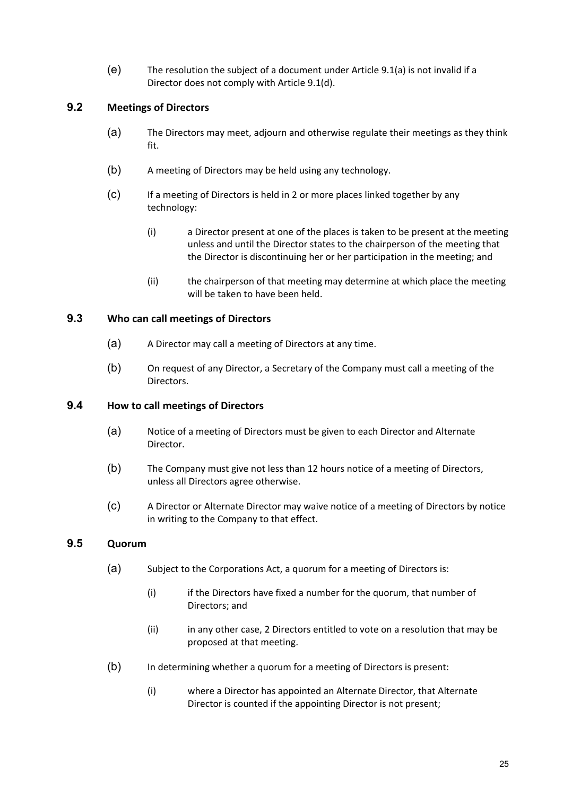(e) The resolution the subject of a document under Article 9.1(a) is not invalid if a Director does not comply with Article 9.1(d).

## **9.2 Meetings of Directors**

- (a) The Directors may meet, adjourn and otherwise regulate their meetings as they think fit.
- (b) A meeting of Directors may be held using any technology.
- (c) If a meeting of Directors is held in 2 or more places linked together by any technology:
	- (i) a Director present at one of the places is taken to be present at the meeting unless and until the Director states to the chairperson of the meeting that the Director is discontinuing her or her participation in the meeting; and
	- (ii) the chairperson of that meeting may determine at which place the meeting will be taken to have been held.

## **9.3 Who can call meetings of Directors**

- (a) A Director may call a meeting of Directors at any time.
- (b) On request of any Director, a Secretary of the Company must call a meeting of the Directors.

#### **9.4 How to call meetings of Directors**

- (a) Notice of a meeting of Directors must be given to each Director and Alternate Director.
- (b) The Company must give not less than 12 hours notice of a meeting of Directors, unless all Directors agree otherwise.
- (c) A Director or Alternate Director may waive notice of a meeting of Directors by notice in writing to the Company to that effect.

## **9.5 Quorum**

- (a) Subject to the Corporations Act, a quorum for a meeting of Directors is:
	- (i) if the Directors have fixed a number for the quorum, that number of Directors; and
	- (ii) in any other case, 2 Directors entitled to vote on a resolution that may be proposed at that meeting.
- (b) In determining whether a quorum for a meeting of Directors is present:
	- (i) where a Director has appointed an Alternate Director, that Alternate Director is counted if the appointing Director is not present;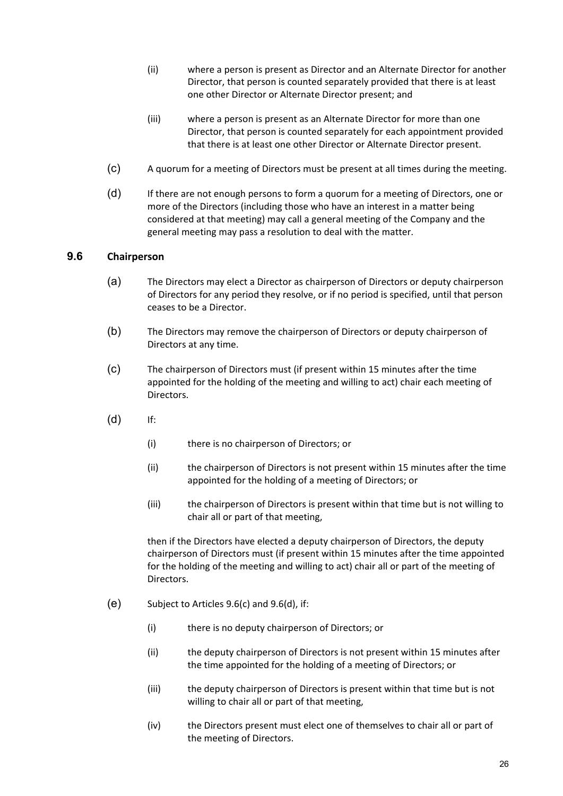- (ii) where a person is present as Director and an Alternate Director for another Director, that person is counted separately provided that there is at least one other Director or Alternate Director present; and
- (iii) where a person is present as an Alternate Director for more than one Director, that person is counted separately for each appointment provided that there is at least one other Director or Alternate Director present.
- (c) A quorum for a meeting of Directors must be present at all times during the meeting.
- (d) If there are not enough persons to form a quorum for a meeting of Directors, one or more of the Directors (including those who have an interest in a matter being considered at that meeting) may call a general meeting of the Company and the general meeting may pass a resolution to deal with the matter.

#### **9.6 Chairperson**

- (a) The Directors may elect a Director as chairperson of Directors or deputy chairperson of Directors for any period they resolve, or if no period is specified, until that person ceases to be a Director.
- (b) The Directors may remove the chairperson of Directors or deputy chairperson of Directors at any time.
- (c) The chairperson of Directors must (if present within 15 minutes after the time appointed for the holding of the meeting and willing to act) chair each meeting of Directors.
- (d) If:
	- (i) there is no chairperson of Directors; or
	- (ii) the chairperson of Directors is not present within 15 minutes after the time appointed for the holding of a meeting of Directors; or
	- (iii) the chairperson of Directors is present within that time but is not willing to chair all or part of that meeting,

then if the Directors have elected a deputy chairperson of Directors, the deputy chairperson of Directors must (if present within 15 minutes after the time appointed for the holding of the meeting and willing to act) chair all or part of the meeting of Directors.

- (e) Subject to Articles 9.6(c) and 9.6(d), if:
	- (i) there is no deputy chairperson of Directors; or
	- (ii) the deputy chairperson of Directors is not present within 15 minutes after the time appointed for the holding of a meeting of Directors; or
	- (iii) the deputy chairperson of Directors is present within that time but is not willing to chair all or part of that meeting,
	- (iv) the Directors present must elect one of themselves to chair all or part of the meeting of Directors.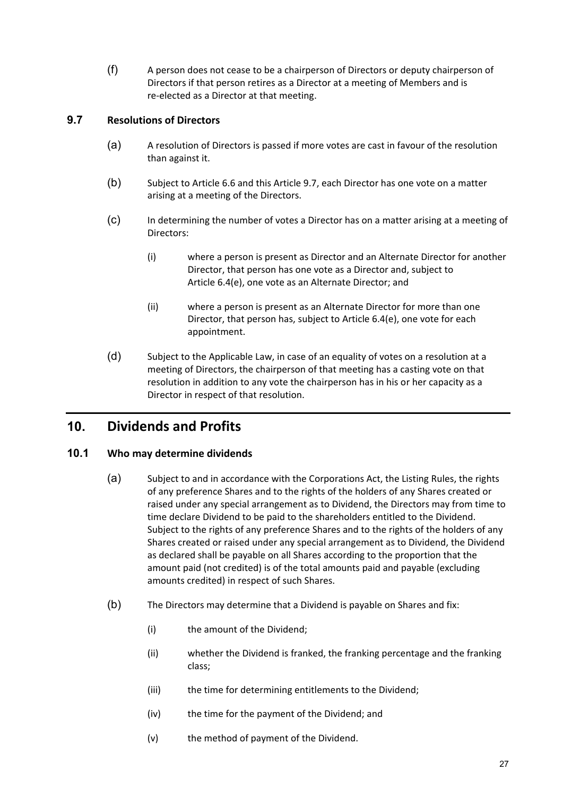(f) A person does not cease to be a chairperson of Directors or deputy chairperson of Directors if that person retires as a Director at a meeting of Members and is re‐elected as a Director at that meeting.

## **9.7 Resolutions of Directors**

- (a) A resolution of Directors is passed if more votes are cast in favour of the resolution than against it.
- (b) Subject to Article 6.6 and this Article 9.7, each Director has one vote on a matter arising at a meeting of the Directors.
- (c) In determining the number of votes a Director has on a matter arising at a meeting of Directors:
	- (i) where a person is present as Director and an Alternate Director for another Director, that person has one vote as a Director and, subject to Article 6.4(e), one vote as an Alternate Director; and
	- (ii) where a person is present as an Alternate Director for more than one Director, that person has, subject to Article 6.4(e), one vote for each appointment.
- (d) Subject to the Applicable Law, in case of an equality of votes on a resolution at a meeting of Directors, the chairperson of that meeting has a casting vote on that resolution in addition to any vote the chairperson has in his or her capacity as a Director in respect of that resolution.

# **10. Dividends and Profits**

## **10.1 Who may determine dividends**

- (a) Subject to and in accordance with the Corporations Act, the Listing Rules, the rights of any preference Shares and to the rights of the holders of any Shares created or raised under any special arrangement as to Dividend, the Directors may from time to time declare Dividend to be paid to the shareholders entitled to the Dividend. Subject to the rights of any preference Shares and to the rights of the holders of any Shares created or raised under any special arrangement as to Dividend, the Dividend as declared shall be payable on all Shares according to the proportion that the amount paid (not credited) is of the total amounts paid and payable (excluding amounts credited) in respect of such Shares.
- (b) The Directors may determine that a Dividend is payable on Shares and fix:
	- (i) the amount of the Dividend;
	- (ii) whether the Dividend is franked, the franking percentage and the franking class;
	- (iii) the time for determining entitlements to the Dividend;
	- (iv) the time for the payment of the Dividend; and
	- (v) the method of payment of the Dividend.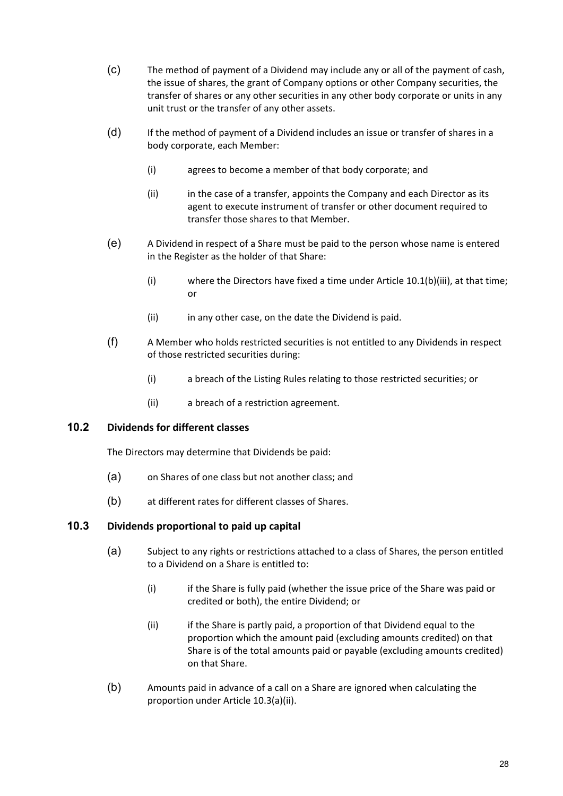- (c) The method of payment of a Dividend may include any or all of the payment of cash, the issue of shares, the grant of Company options or other Company securities, the transfer of shares or any other securities in any other body corporate or units in any unit trust or the transfer of any other assets.
- (d) If the method of payment of a Dividend includes an issue or transfer of shares in a body corporate, each Member:
	- (i) agrees to become a member of that body corporate; and
	- (ii) in the case of a transfer, appoints the Company and each Director as its agent to execute instrument of transfer or other document required to transfer those shares to that Member.
- (e) A Dividend in respect of a Share must be paid to the person whose name is entered in the Register as the holder of that Share:
	- (i) where the Directors have fixed a time under Article 10.1(b)(iii), at that time; or
	- (ii) in any other case, on the date the Dividend is paid.
- (f) A Member who holds restricted securities is not entitled to any Dividends in respect of those restricted securities during:
	- (i) a breach of the Listing Rules relating to those restricted securities; or
	- (ii) a breach of a restriction agreement.

### **10.2 Dividends for different classes**

The Directors may determine that Dividends be paid:

- (a) on Shares of one class but not another class; and
- (b) at different rates for different classes of Shares.

#### **10.3 Dividends proportional to paid up capital**

- (a) Subject to any rights or restrictions attached to a class of Shares, the person entitled to a Dividend on a Share is entitled to:
	- (i) if the Share is fully paid (whether the issue price of the Share was paid or credited or both), the entire Dividend; or
	- (ii) if the Share is partly paid, a proportion of that Dividend equal to the proportion which the amount paid (excluding amounts credited) on that Share is of the total amounts paid or payable (excluding amounts credited) on that Share.
- (b) Amounts paid in advance of a call on a Share are ignored when calculating the proportion under Article 10.3(a)(ii).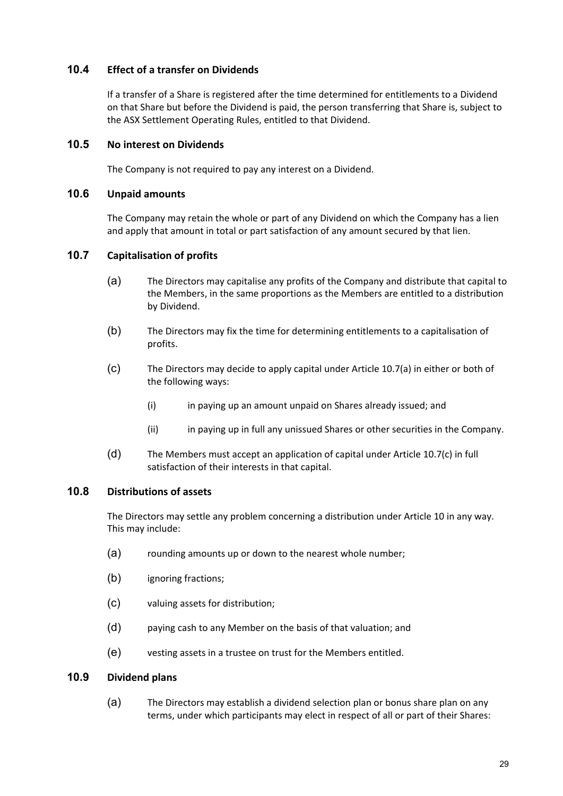### **10.4 Effect of a transfer on Dividends**

If a transfer of a Share is registered after the time determined for entitlements to a Dividend on that Share but before the Dividend is paid, the person transferring that Share is, subject to the ASX Settlement Operating Rules, entitled to that Dividend.

#### **10.5 No interest on Dividends**

The Company is not required to pay any interest on a Dividend.

#### **10.6 Unpaid amounts**

The Company may retain the whole or part of any Dividend on which the Company has a lien and apply that amount in total or part satisfaction of any amount secured by that lien.

#### **10.7 Capitalisation of profits**

- (a) The Directors may capitalise any profits of the Company and distribute that capital to the Members, in the same proportions as the Members are entitled to a distribution by Dividend.
- (b) The Directors may fix the time for determining entitlements to a capitalisation of profits.
- (c) The Directors may decide to apply capital under Article 10.7(a) in either or both of the following ways:
	- (i) in paying up an amount unpaid on Shares already issued; and
	- (ii) in paying up in full any unissued Shares or other securities in the Company.
- (d) The Members must accept an application of capital under Article 10.7(c) in full satisfaction of their interests in that capital.

#### **10.8 Distributions of assets**

The Directors may settle any problem concerning a distribution under Article 10 in any way. This may include:

- (a) rounding amounts up or down to the nearest whole number;
- (b) ignoring fractions;
- (c) valuing assets for distribution;
- (d) paying cash to any Member on the basis of that valuation; and
- (e) vesting assets in a trustee on trust for the Members entitled.

### **10.9 Dividend plans**

(a) The Directors may establish a dividend selection plan or bonus share plan on any terms, under which participants may elect in respect of all or part of their Shares: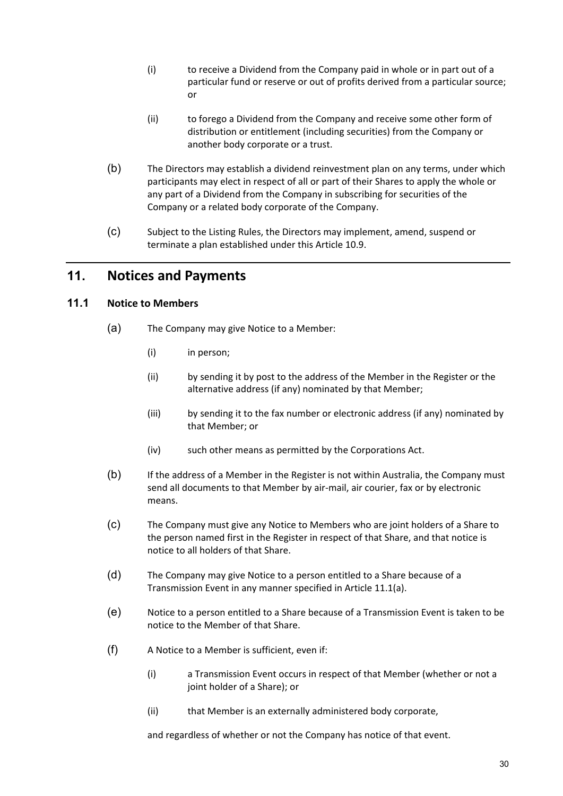- (i) to receive a Dividend from the Company paid in whole or in part out of a particular fund or reserve or out of profits derived from a particular source; or
- (ii) to forego a Dividend from the Company and receive some other form of distribution or entitlement (including securities) from the Company or another body corporate or a trust.
- (b) The Directors may establish a dividend reinvestment plan on any terms, under which participants may elect in respect of all or part of their Shares to apply the whole or any part of a Dividend from the Company in subscribing for securities of the Company or a related body corporate of the Company.
- (c) Subject to the Listing Rules, the Directors may implement, amend, suspend or terminate a plan established under this Article 10.9.

## **11. Notices and Payments**

#### **11.1 Notice to Members**

- (a) The Company may give Notice to a Member:
	- (i) in person;
	- (ii) by sending it by post to the address of the Member in the Register or the alternative address (if any) nominated by that Member;
	- (iii) by sending it to the fax number or electronic address (if any) nominated by that Member; or
	- (iv) such other means as permitted by the Corporations Act.
- (b) If the address of a Member in the Register is not within Australia, the Company must send all documents to that Member by air‐mail, air courier, fax or by electronic means.
- (c) The Company must give any Notice to Members who are joint holders of a Share to the person named first in the Register in respect of that Share, and that notice is notice to all holders of that Share.
- (d) The Company may give Notice to a person entitled to a Share because of a Transmission Event in any manner specified in Article 11.1(a).
- (e) Notice to a person entitled to a Share because of a Transmission Event is taken to be notice to the Member of that Share.
- (f) A Notice to a Member is sufficient, even if:
	- (i) a Transmission Event occurs in respect of that Member (whether or not a joint holder of a Share); or
	- (ii) that Member is an externally administered body corporate,

and regardless of whether or not the Company has notice of that event.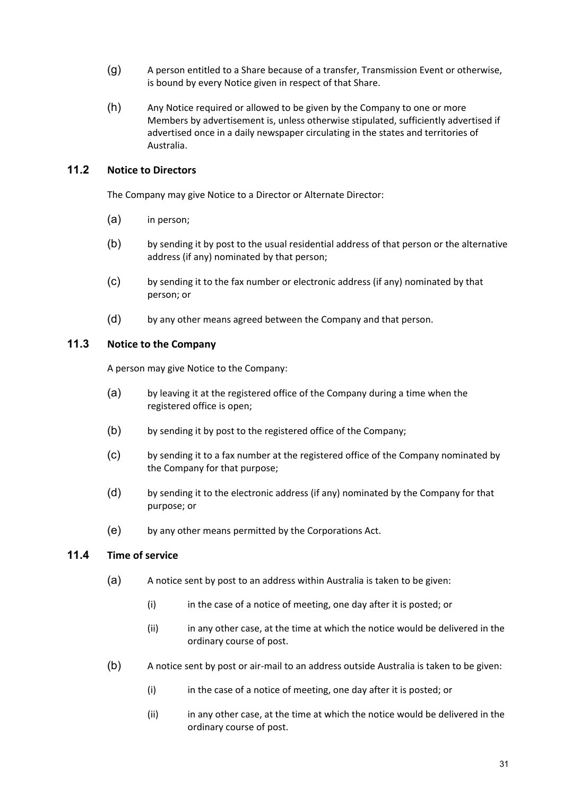- (g) A person entitled to a Share because of a transfer, Transmission Event or otherwise, is bound by every Notice given in respect of that Share.
- (h) Any Notice required or allowed to be given by the Company to one or more Members by advertisement is, unless otherwise stipulated, sufficiently advertised if advertised once in a daily newspaper circulating in the states and territories of Australia.

## **11.2 Notice to Directors**

The Company may give Notice to a Director or Alternate Director:

- (a) in person;
- (b) by sending it by post to the usual residential address of that person or the alternative address (if any) nominated by that person;
- (c) by sending it to the fax number or electronic address (if any) nominated by that person; or
- (d) by any other means agreed between the Company and that person.

#### **11.3 Notice to the Company**

A person may give Notice to the Company:

- (a) by leaving it at the registered office of the Company during a time when the registered office is open;
- (b) by sending it by post to the registered office of the Company;
- (c) by sending it to a fax number at the registered office of the Company nominated by the Company for that purpose;
- (d) by sending it to the electronic address (if any) nominated by the Company for that purpose; or
- (e) by any other means permitted by the Corporations Act.

#### **11.4 Time of service**

- (a) A notice sent by post to an address within Australia is taken to be given:
	- (i) in the case of a notice of meeting, one day after it is posted; or
	- (ii) in any other case, at the time at which the notice would be delivered in the ordinary course of post.
- (b) A notice sent by post or air‐mail to an address outside Australia is taken to be given:
	- (i) in the case of a notice of meeting, one day after it is posted; or
	- (ii) in any other case, at the time at which the notice would be delivered in the ordinary course of post.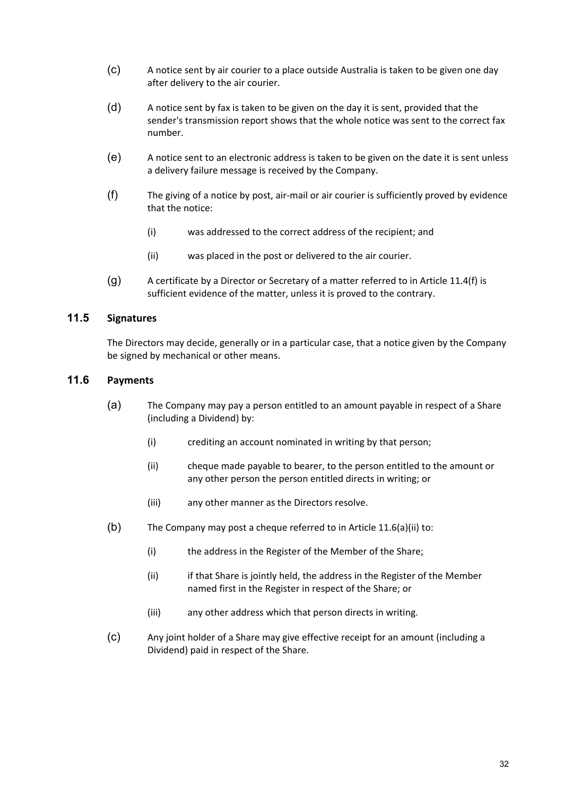- (c) A notice sent by air courier to a place outside Australia is taken to be given one day after delivery to the air courier.
- (d) A notice sent by fax is taken to be given on the day it is sent, provided that the sender's transmission report shows that the whole notice was sent to the correct fax number.
- (e) A notice sent to an electronic address is taken to be given on the date it is sent unless a delivery failure message is received by the Company.
- (f) The giving of a notice by post, air‐mail or air courier is sufficiently proved by evidence that the notice:
	- (i) was addressed to the correct address of the recipient; and
	- (ii) was placed in the post or delivered to the air courier.
- (g) A certificate by a Director or Secretary of a matter referred to in Article 11.4(f) is sufficient evidence of the matter, unless it is proved to the contrary.

## **11.5 Signatures**

The Directors may decide, generally or in a particular case, that a notice given by the Company be signed by mechanical or other means.

### **11.6 Payments**

- (a) The Company may pay a person entitled to an amount payable in respect of a Share (including a Dividend) by:
	- (i) crediting an account nominated in writing by that person;
	- (ii) cheque made payable to bearer, to the person entitled to the amount or any other person the person entitled directs in writing; or
	- (iii) any other manner as the Directors resolve.
- (b) The Company may post a cheque referred to in Article 11.6(a)(ii) to:
	- (i) the address in the Register of the Member of the Share;
	- (ii) if that Share is jointly held, the address in the Register of the Member named first in the Register in respect of the Share; or
	- (iii) any other address which that person directs in writing.
- (c) Any joint holder of a Share may give effective receipt for an amount (including a Dividend) paid in respect of the Share.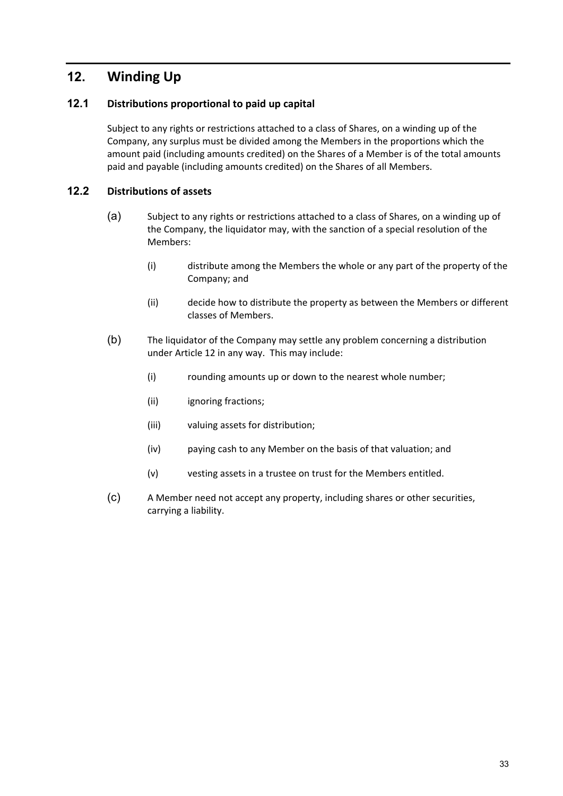# **12. Winding Up**

## **12.1 Distributions proportional to paid up capital**

Subject to any rights or restrictions attached to a class of Shares, on a winding up of the Company, any surplus must be divided among the Members in the proportions which the amount paid (including amounts credited) on the Shares of a Member is of the total amounts paid and payable (including amounts credited) on the Shares of all Members.

## **12.2 Distributions of assets**

- (a) Subject to any rights or restrictions attached to a class of Shares, on a winding up of the Company, the liquidator may, with the sanction of a special resolution of the Members:
	- (i) distribute among the Members the whole or any part of the property of the Company; and
	- (ii) decide how to distribute the property as between the Members or different classes of Members.
- (b) The liquidator of the Company may settle any problem concerning a distribution under Article 12 in any way. This may include:
	- (i) rounding amounts up or down to the nearest whole number;
	- (ii) ignoring fractions;
	- (iii) valuing assets for distribution;
	- (iv) paying cash to any Member on the basis of that valuation; and
	- (v) vesting assets in a trustee on trust for the Members entitled.
- (c) A Member need not accept any property, including shares or other securities, carrying a liability.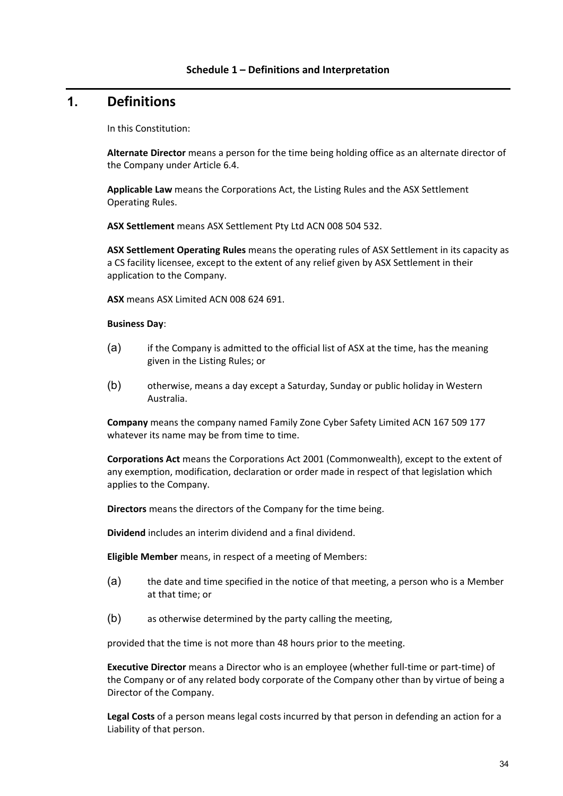## **1. Definitions**

In this Constitution:

**Alternate Director** means a person for the time being holding office as an alternate director of the Company under Article 6.4.

**Applicable Law** means the Corporations Act, the Listing Rules and the ASX Settlement Operating Rules.

**ASX Settlement** means ASX Settlement Pty Ltd ACN 008 504 532.

**ASX Settlement Operating Rules** means the operating rules of ASX Settlement in its capacity as a CS facility licensee, except to the extent of any relief given by ASX Settlement in their application to the Company.

**ASX** means ASX Limited ACN 008 624 691.

#### **Business Day**:

- (a) if the Company is admitted to the official list of ASX at the time, has the meaning given in the Listing Rules; or
- (b) otherwise, means a day except a Saturday, Sunday or public holiday in Western Australia.

**Company** means the company named Family Zone Cyber Safety Limited ACN 167 509 177 whatever its name may be from time to time.

**Corporations Act** means the Corporations Act 2001 (Commonwealth), except to the extent of any exemption, modification, declaration or order made in respect of that legislation which applies to the Company.

**Directors** means the directors of the Company for the time being.

**Dividend** includes an interim dividend and a final dividend.

**Eligible Member** means, in respect of a meeting of Members:

- (a) the date and time specified in the notice of that meeting, a person who is a Member at that time; or
- (b) as otherwise determined by the party calling the meeting,

provided that the time is not more than 48 hours prior to the meeting.

**Executive Director** means a Director who is an employee (whether full‐time or part‐time) of the Company or of any related body corporate of the Company other than by virtue of being a Director of the Company.

**Legal Costs** of a person means legal costs incurred by that person in defending an action for a Liability of that person.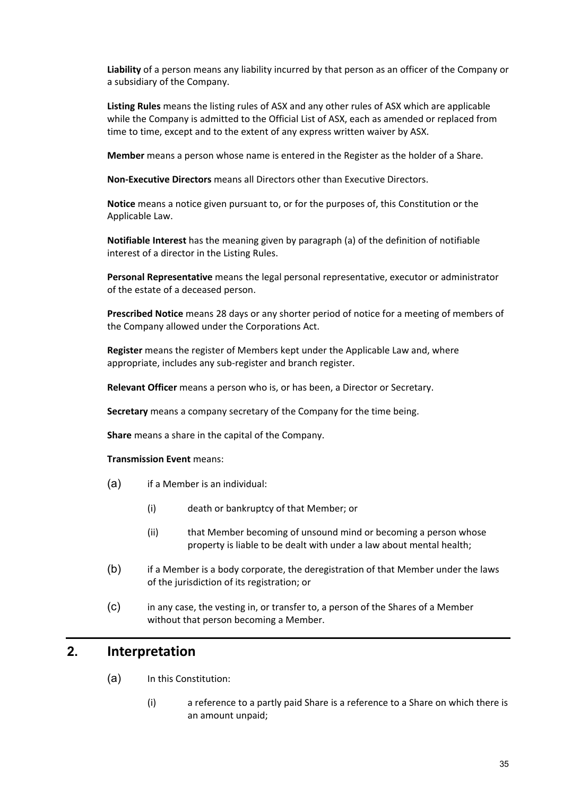**Liability** of a person means any liability incurred by that person as an officer of the Company or a subsidiary of the Company.

**Listing Rules** means the listing rules of ASX and any other rules of ASX which are applicable while the Company is admitted to the Official List of ASX, each as amended or replaced from time to time, except and to the extent of any express written waiver by ASX.

**Member** means a person whose name is entered in the Register as the holder of a Share.

**Non‐Executive Directors** means all Directors other than Executive Directors.

**Notice** means a notice given pursuant to, or for the purposes of, this Constitution or the Applicable Law.

**Notifiable Interest** has the meaning given by paragraph (a) of the definition of notifiable interest of a director in the Listing Rules.

**Personal Representative** means the legal personal representative, executor or administrator of the estate of a deceased person.

**Prescribed Notice** means 28 days or any shorter period of notice for a meeting of members of the Company allowed under the Corporations Act.

**Register** means the register of Members kept under the Applicable Law and, where appropriate, includes any sub‐register and branch register.

**Relevant Officer** means a person who is, or has been, a Director or Secretary.

**Secretary** means a company secretary of the Company for the time being.

**Share** means a share in the capital of the Company.

#### **Transmission Event** means:

- (a) if a Member is an individual:
	- (i) death or bankruptcy of that Member; or
	- (ii) that Member becoming of unsound mind or becoming a person whose property is liable to be dealt with under a law about mental health;
- (b) if a Member is a body corporate, the deregistration of that Member under the laws of the jurisdiction of its registration; or
- (c) in any case, the vesting in, or transfer to, a person of the Shares of a Member without that person becoming a Member.

## **2. Interpretation**

- (a) In this Constitution:
	- (i) a reference to a partly paid Share is a reference to a Share on which there is an amount unpaid;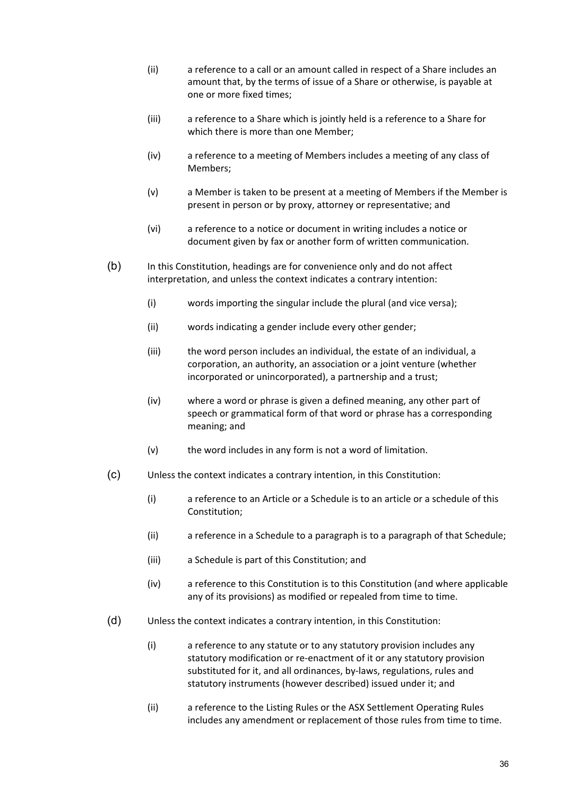- (ii) a reference to a call or an amount called in respect of a Share includes an amount that, by the terms of issue of a Share or otherwise, is payable at one or more fixed times;
- (iii) a reference to a Share which is jointly held is a reference to a Share for which there is more than one Member;
- (iv) a reference to a meeting of Members includes a meeting of any class of Members;
- (v) a Member is taken to be present at a meeting of Members if the Member is present in person or by proxy, attorney or representative; and
- (vi) a reference to a notice or document in writing includes a notice or document given by fax or another form of written communication.
- (b) In this Constitution, headings are for convenience only and do not affect interpretation, and unless the context indicates a contrary intention:
	- (i) words importing the singular include the plural (and vice versa);
	- (ii) words indicating a gender include every other gender;
	- (iii) the word person includes an individual, the estate of an individual, a corporation, an authority, an association or a joint venture (whether incorporated or unincorporated), a partnership and a trust;
	- (iv) where a word or phrase is given a defined meaning, any other part of speech or grammatical form of that word or phrase has a corresponding meaning; and
	- $(v)$  the word includes in any form is not a word of limitation.
- (c) Unless the context indicates a contrary intention, in this Constitution:
	- (i) a reference to an Article or a Schedule is to an article or a schedule of this Constitution;
	- (ii) a reference in a Schedule to a paragraph is to a paragraph of that Schedule;
	- (iii) a Schedule is part of this Constitution; and
	- (iv) a reference to this Constitution is to this Constitution (and where applicable any of its provisions) as modified or repealed from time to time.
- (d) Unless the context indicates a contrary intention, in this Constitution:
	- (i) a reference to any statute or to any statutory provision includes any statutory modification or re‐enactment of it or any statutory provision substituted for it, and all ordinances, by‐laws, regulations, rules and statutory instruments (however described) issued under it; and
	- (ii) a reference to the Listing Rules or the ASX Settlement Operating Rules includes any amendment or replacement of those rules from time to time.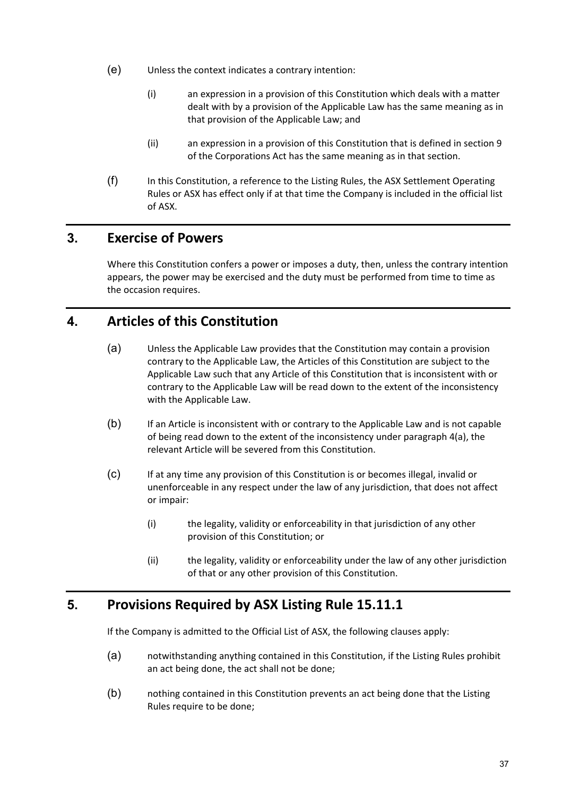- (e) Unless the context indicates a contrary intention:
	- (i) an expression in a provision of this Constitution which deals with a matter dealt with by a provision of the Applicable Law has the same meaning as in that provision of the Applicable Law; and
	- (ii) an expression in a provision of this Constitution that is defined in section 9 of the Corporations Act has the same meaning as in that section.
- (f) In this Constitution, a reference to the Listing Rules, the ASX Settlement Operating Rules or ASX has effect only if at that time the Company is included in the official list of ASX.

## **3. Exercise of Powers**

Where this Constitution confers a power or imposes a duty, then, unless the contrary intention appears, the power may be exercised and the duty must be performed from time to time as the occasion requires.

## **4. Articles of this Constitution**

- (a) Unless the Applicable Law provides that the Constitution may contain a provision contrary to the Applicable Law, the Articles of this Constitution are subject to the Applicable Law such that any Article of this Constitution that is inconsistent with or contrary to the Applicable Law will be read down to the extent of the inconsistency with the Applicable Law.
- (b) If an Article is inconsistent with or contrary to the Applicable Law and is not capable of being read down to the extent of the inconsistency under paragraph 4(a), the relevant Article will be severed from this Constitution.
- (c) If at any time any provision of this Constitution is or becomes illegal, invalid or unenforceable in any respect under the law of any jurisdiction, that does not affect or impair:
	- (i) the legality, validity or enforceability in that jurisdiction of any other provision of this Constitution; or
	- (ii) the legality, validity or enforceability under the law of any other jurisdiction of that or any other provision of this Constitution.

## **5. Provisions Required by ASX Listing Rule 15.11.1**

If the Company is admitted to the Official List of ASX, the following clauses apply:

- (a) notwithstanding anything contained in this Constitution, if the Listing Rules prohibit an act being done, the act shall not be done;
- (b) nothing contained in this Constitution prevents an act being done that the Listing Rules require to be done;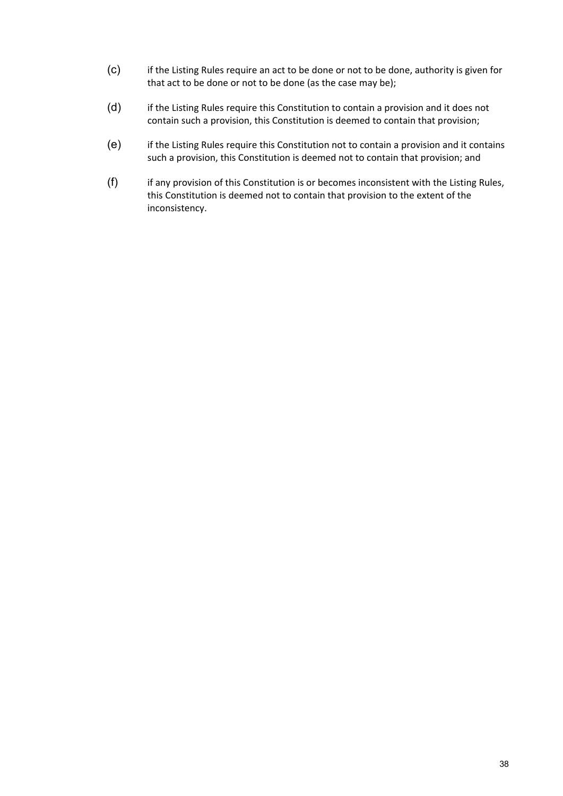- (c) if the Listing Rules require an act to be done or not to be done, authority is given for that act to be done or not to be done (as the case may be);
- (d) if the Listing Rules require this Constitution to contain a provision and it does not contain such a provision, this Constitution is deemed to contain that provision;
- (e) if the Listing Rules require this Constitution not to contain a provision and it contains such a provision, this Constitution is deemed not to contain that provision; and
- (f) if any provision of this Constitution is or becomes inconsistent with the Listing Rules, this Constitution is deemed not to contain that provision to the extent of the inconsistency.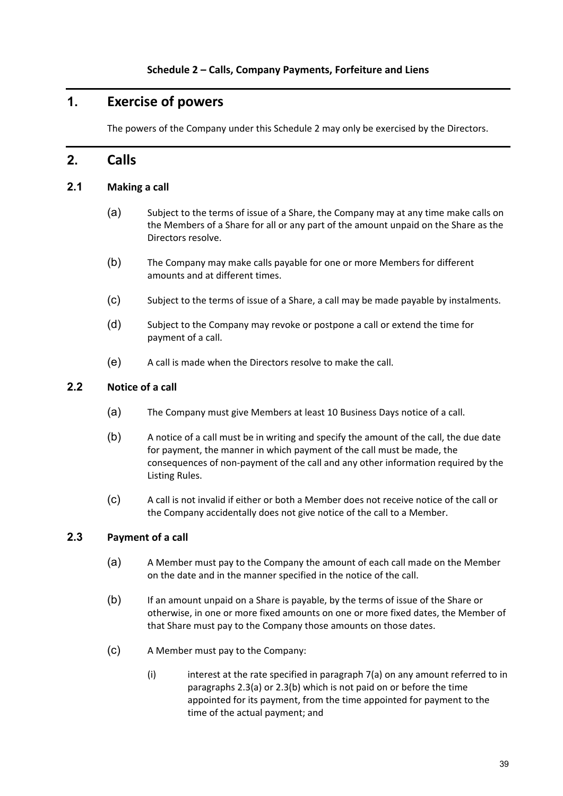## **1. Exercise of powers**

The powers of the Company under this Schedule 2 may only be exercised by the Directors.

## **2. Calls**

#### **2.1 Making a call**

- (a) Subject to the terms of issue of a Share, the Company may at any time make calls on the Members of a Share for all or any part of the amount unpaid on the Share as the Directors resolve.
- (b) The Company may make calls payable for one or more Members for different amounts and at different times.
- (c) Subject to the terms of issue of a Share, a call may be made payable by instalments.
- (d) Subject to the Company may revoke or postpone a call or extend the time for payment of a call.
- (e) A call is made when the Directors resolve to make the call.

### **2.2 Notice of a call**

- (a) The Company must give Members at least 10 Business Days notice of a call.
- (b) A notice of a call must be in writing and specify the amount of the call, the due date for payment, the manner in which payment of the call must be made, the consequences of non‐payment of the call and any other information required by the Listing Rules.
- (c) A call is not invalid if either or both a Member does not receive notice of the call or the Company accidentally does not give notice of the call to a Member.

## **2.3 Payment of a call**

- (a) A Member must pay to the Company the amount of each call made on the Member on the date and in the manner specified in the notice of the call.
- (b) If an amount unpaid on a Share is payable, by the terms of issue of the Share or otherwise, in one or more fixed amounts on one or more fixed dates, the Member of that Share must pay to the Company those amounts on those dates.
- (c) A Member must pay to the Company:
	- $(i)$  interest at the rate specified in paragraph  $7(a)$  on any amount referred to in paragraphs 2.3(a) or 2.3(b) which is not paid on or before the time appointed for its payment, from the time appointed for payment to the time of the actual payment; and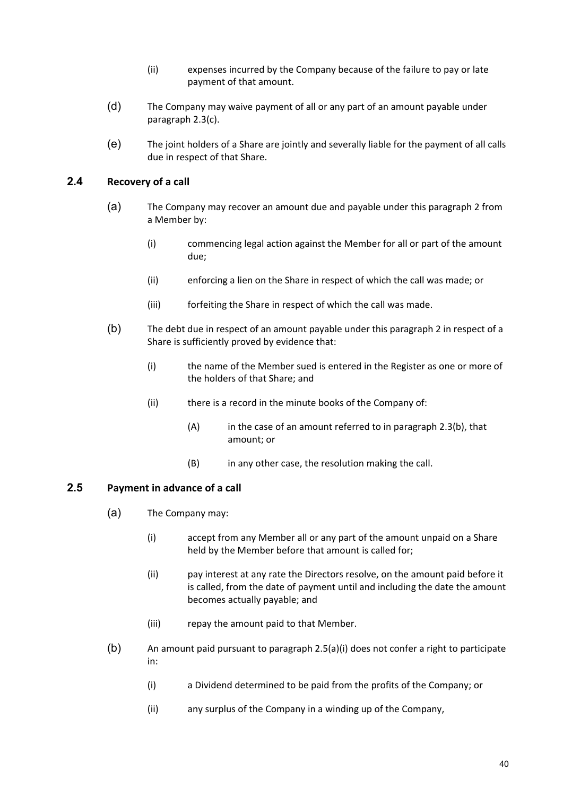- (ii) expenses incurred by the Company because of the failure to pay or late payment of that amount.
- (d) The Company may waive payment of all or any part of an amount payable under paragraph 2.3(c).
- (e) The joint holders of a Share are jointly and severally liable for the payment of all calls due in respect of that Share.

### **2.4 Recovery of a call**

- (a) The Company may recover an amount due and payable under this paragraph 2 from a Member by:
	- (i) commencing legal action against the Member for all or part of the amount due;
	- (ii) enforcing a lien on the Share in respect of which the call was made; or
	- (iii) forfeiting the Share in respect of which the call was made.
- (b) The debt due in respect of an amount payable under this paragraph 2 in respect of a Share is sufficiently proved by evidence that:
	- (i) the name of the Member sued is entered in the Register as one or more of the holders of that Share; and
	- (ii) there is a record in the minute books of the Company of:
		- $(A)$  in the case of an amount referred to in paragraph 2.3(b), that amount; or
		- (B) in any other case, the resolution making the call.

#### **2.5 Payment in advance of a call**

- (a) The Company may:
	- (i) accept from any Member all or any part of the amount unpaid on a Share held by the Member before that amount is called for;
	- (ii) pay interest at any rate the Directors resolve, on the amount paid before it is called, from the date of payment until and including the date the amount becomes actually payable; and
	- (iii) repay the amount paid to that Member.
- (b) An amount paid pursuant to paragraph 2.5(a)(i) does not confer a right to participate in:
	- (i) a Dividend determined to be paid from the profits of the Company; or
	- (ii) any surplus of the Company in a winding up of the Company,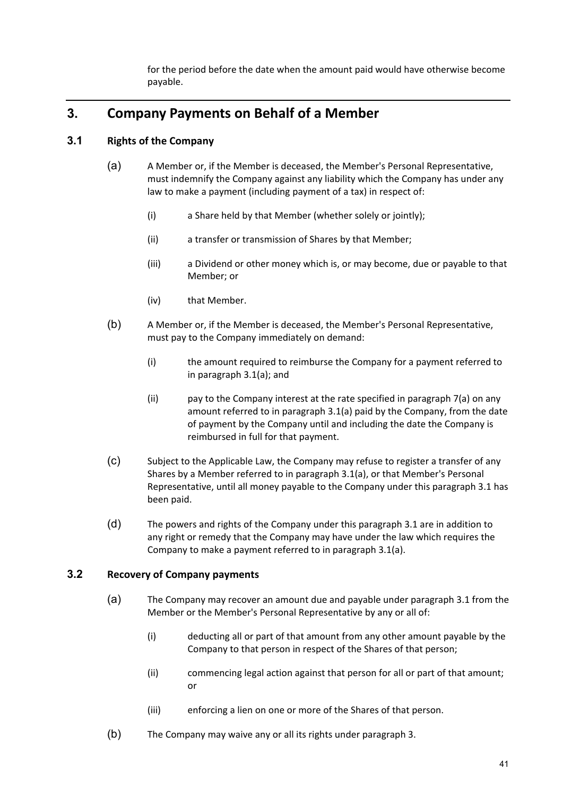for the period before the date when the amount paid would have otherwise become payable.

## **3. Company Payments on Behalf of a Member**

## **3.1 Rights of the Company**

- (a) A Member or, if the Member is deceased, the Member's Personal Representative, must indemnify the Company against any liability which the Company has under any law to make a payment (including payment of a tax) in respect of:
	- (i) a Share held by that Member (whether solely or jointly);
	- (ii) a transfer or transmission of Shares by that Member;
	- (iii) a Dividend or other money which is, or may become, due or payable to that Member; or
	- (iv) that Member.
- (b) A Member or, if the Member is deceased, the Member's Personal Representative, must pay to the Company immediately on demand:
	- (i) the amount required to reimburse the Company for a payment referred to in paragraph 3.1(a); and
	- (ii) pay to the Company interest at the rate specified in paragraph 7(a) on any amount referred to in paragraph 3.1(a) paid by the Company, from the date of payment by the Company until and including the date the Company is reimbursed in full for that payment.
- (c) Subject to the Applicable Law, the Company may refuse to register a transfer of any Shares by a Member referred to in paragraph 3.1(a), or that Member's Personal Representative, until all money payable to the Company under this paragraph 3.1 has been paid.
- (d) The powers and rights of the Company under this paragraph 3.1 are in addition to any right or remedy that the Company may have under the law which requires the Company to make a payment referred to in paragraph 3.1(a).

## **3.2 Recovery of Company payments**

- (a) The Company may recover an amount due and payable under paragraph 3.1 from the Member or the Member's Personal Representative by any or all of:
	- (i) deducting all or part of that amount from any other amount payable by the Company to that person in respect of the Shares of that person;
	- (ii) commencing legal action against that person for all or part of that amount; or
	- (iii) enforcing a lien on one or more of the Shares of that person.
- (b) The Company may waive any or all its rights under paragraph 3.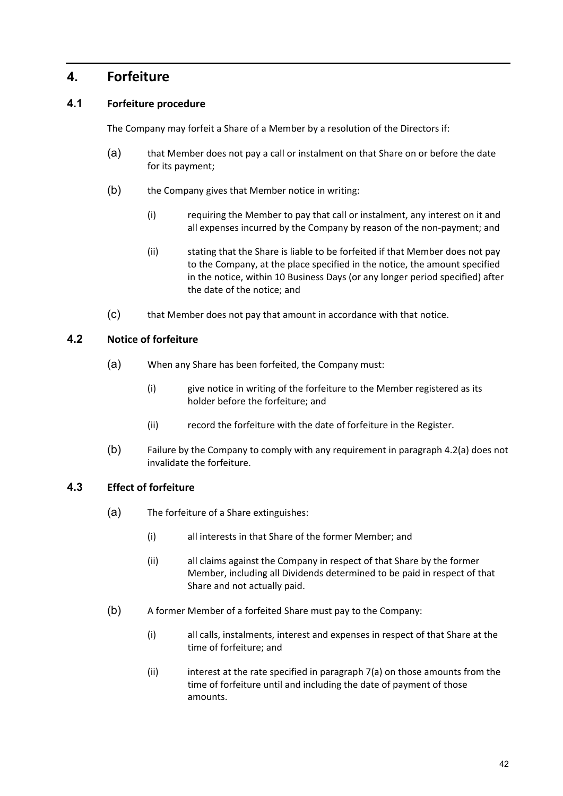## **4. Forfeiture**

## **4.1 Forfeiture procedure**

The Company may forfeit a Share of a Member by a resolution of the Directors if:

- (a) that Member does not pay a call or instalment on that Share on or before the date for its payment;
- (b) the Company gives that Member notice in writing:
	- (i) requiring the Member to pay that call or instalment, any interest on it and all expenses incurred by the Company by reason of the non‐payment; and
	- (ii) stating that the Share is liable to be forfeited if that Member does not pay to the Company, at the place specified in the notice, the amount specified in the notice, within 10 Business Days (or any longer period specified) after the date of the notice; and
- (c) that Member does not pay that amount in accordance with that notice.

## **4.2 Notice of forfeiture**

- (a) When any Share has been forfeited, the Company must:
	- (i) give notice in writing of the forfeiture to the Member registered as its holder before the forfeiture; and
	- (ii) record the forfeiture with the date of forfeiture in the Register.
- (b) Failure by the Company to comply with any requirement in paragraph 4.2(a) does not invalidate the forfeiture.

## **4.3 Effect of forfeiture**

- (a) The forfeiture of a Share extinguishes:
	- (i) all interests in that Share of the former Member; and
	- (ii) all claims against the Company in respect of that Share by the former Member, including all Dividends determined to be paid in respect of that Share and not actually paid.
- (b) A former Member of a forfeited Share must pay to the Company:
	- (i) all calls, instalments, interest and expenses in respect of that Share at the time of forfeiture; and
	- (ii) interest at the rate specified in paragraph 7(a) on those amounts from the time of forfeiture until and including the date of payment of those amounts.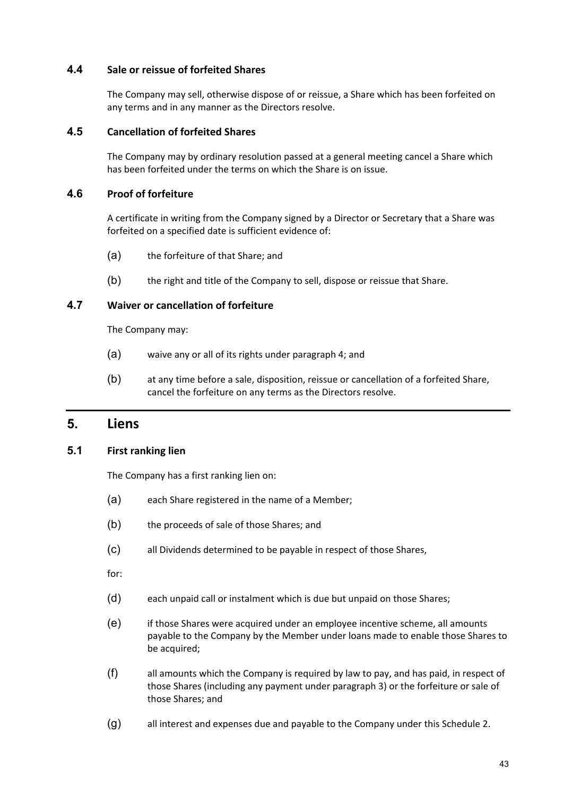#### **4.4 Sale or reissue of forfeited Shares**

The Company may sell, otherwise dispose of or reissue, a Share which has been forfeited on any terms and in any manner as the Directors resolve.

#### **4.5 Cancellation of forfeited Shares**

The Company may by ordinary resolution passed at a general meeting cancel a Share which has been forfeited under the terms on which the Share is on issue.

### **4.6 Proof of forfeiture**

A certificate in writing from the Company signed by a Director or Secretary that a Share was forfeited on a specified date is sufficient evidence of:

- (a) the forfeiture of that Share; and
- (b) the right and title of the Company to sell, dispose or reissue that Share.

### **4.7 Waiver or cancellation of forfeiture**

The Company may:

- (a) waive any or all of its rights under paragraph 4; and
- (b) at any time before a sale, disposition, reissue or cancellation of a forfeited Share, cancel the forfeiture on any terms as the Directors resolve.

## **5. Liens**

#### **5.1 First ranking lien**

The Company has a first ranking lien on:

- (a) each Share registered in the name of a Member;
- (b) the proceeds of sale of those Shares; and
- (c) all Dividends determined to be payable in respect of those Shares,

for:

- (d) each unpaid call or instalment which is due but unpaid on those Shares;
- (e) if those Shares were acquired under an employee incentive scheme, all amounts payable to the Company by the Member under loans made to enable those Shares to be acquired;
- (f) all amounts which the Company is required by law to pay, and has paid, in respect of those Shares (including any payment under paragraph 3) or the forfeiture or sale of those Shares; and
- (g) all interest and expenses due and payable to the Company under this Schedule 2.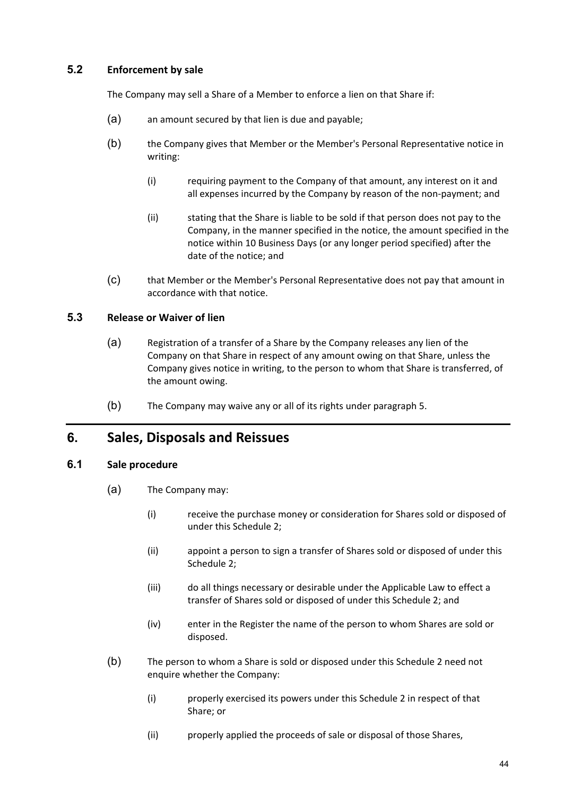## **5.2 Enforcement by sale**

The Company may sell a Share of a Member to enforce a lien on that Share if:

- (a) an amount secured by that lien is due and payable;
- (b) the Company gives that Member or the Member's Personal Representative notice in writing:
	- (i) requiring payment to the Company of that amount, any interest on it and all expenses incurred by the Company by reason of the non‐payment; and
	- (ii) stating that the Share is liable to be sold if that person does not pay to the Company, in the manner specified in the notice, the amount specified in the notice within 10 Business Days (or any longer period specified) after the date of the notice; and
- (c) that Member or the Member's Personal Representative does not pay that amount in accordance with that notice.

## **5.3 Release or Waiver of lien**

- (a) Registration of a transfer of a Share by the Company releases any lien of the Company on that Share in respect of any amount owing on that Share, unless the Company gives notice in writing, to the person to whom that Share is transferred, of the amount owing.
- (b) The Company may waive any or all of its rights under paragraph 5.

## **6. Sales, Disposals and Reissues**

#### **6.1 Sale procedure**

- (a) The Company may:
	- (i) receive the purchase money or consideration for Shares sold or disposed of under this Schedule 2;
	- (ii) appoint a person to sign a transfer of Shares sold or disposed of under this Schedule 2;
	- (iii) do all things necessary or desirable under the Applicable Law to effect a transfer of Shares sold or disposed of under this Schedule 2; and
	- (iv) enter in the Register the name of the person to whom Shares are sold or disposed.
- (b) The person to whom a Share is sold or disposed under this Schedule 2 need not enquire whether the Company:
	- (i) properly exercised its powers under this Schedule 2 in respect of that Share; or
	- (ii) properly applied the proceeds of sale or disposal of those Shares,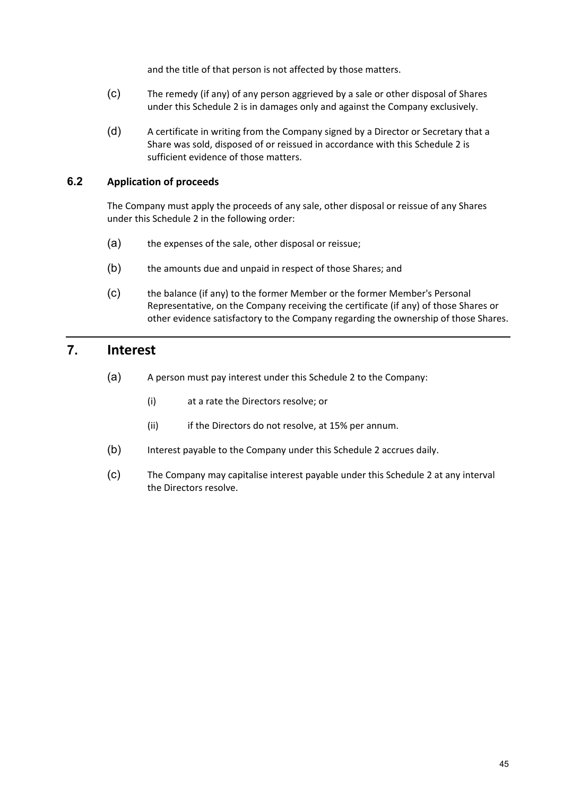and the title of that person is not affected by those matters.

- (c) The remedy (if any) of any person aggrieved by a sale or other disposal of Shares under this Schedule 2 is in damages only and against the Company exclusively.
- (d) A certificate in writing from the Company signed by a Director or Secretary that a Share was sold, disposed of or reissued in accordance with this Schedule 2 is sufficient evidence of those matters.

### **6.2 Application of proceeds**

The Company must apply the proceeds of any sale, other disposal or reissue of any Shares under this Schedule 2 in the following order:

- (a) the expenses of the sale, other disposal or reissue;
- (b) the amounts due and unpaid in respect of those Shares; and
- (c) the balance (if any) to the former Member or the former Member's Personal Representative, on the Company receiving the certificate (if any) of those Shares or other evidence satisfactory to the Company regarding the ownership of those Shares.

## **7. Interest**

- (a) A person must pay interest under this Schedule 2 to the Company:
	- (i) at a rate the Directors resolve; or
	- (ii) if the Directors do not resolve, at 15% per annum.
- (b) Interest payable to the Company under this Schedule 2 accrues daily.
- (c) The Company may capitalise interest payable under this Schedule 2 at any interval the Directors resolve.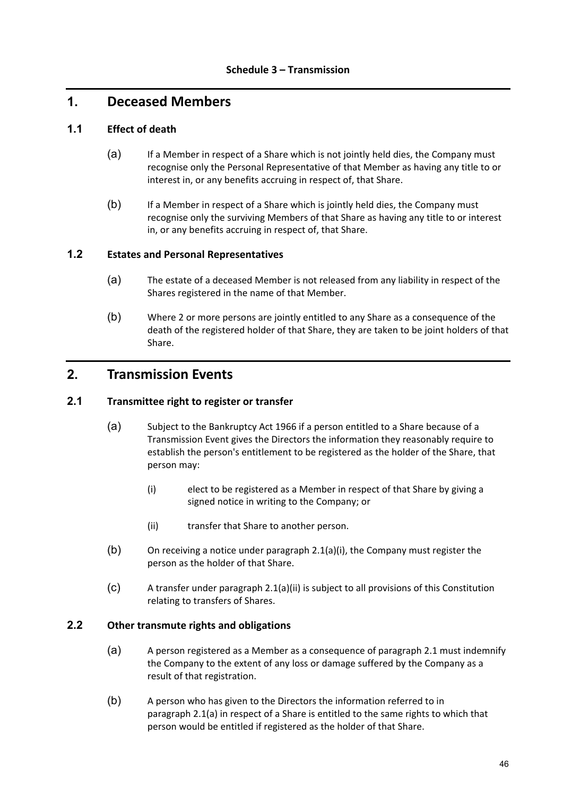## **1. Deceased Members**

### **1.1 Effect of death**

- (a) If a Member in respect of a Share which is not jointly held dies, the Company must recognise only the Personal Representative of that Member as having any title to or interest in, or any benefits accruing in respect of, that Share.
- (b) If a Member in respect of a Share which is jointly held dies, the Company must recognise only the surviving Members of that Share as having any title to or interest in, or any benefits accruing in respect of, that Share.

#### **1.2 Estates and Personal Representatives**

- (a) The estate of a deceased Member is not released from any liability in respect of the Shares registered in the name of that Member.
- (b) Where 2 or more persons are jointly entitled to any Share as a consequence of the death of the registered holder of that Share, they are taken to be joint holders of that Share.

## **2. Transmission Events**

#### **2.1 Transmittee right to register or transfer**

- (a) Subject to the Bankruptcy Act 1966 if a person entitled to a Share because of a Transmission Event gives the Directors the information they reasonably require to establish the person's entitlement to be registered as the holder of the Share, that person may:
	- (i) elect to be registered as a Member in respect of that Share by giving a signed notice in writing to the Company; or
	- (ii) transfer that Share to another person.
- (b) On receiving a notice under paragraph 2.1(a)(i), the Company must register the person as the holder of that Share.
- (c) A transfer under paragraph 2.1(a)(ii) is subject to all provisions of this Constitution relating to transfers of Shares.

#### **2.2 Other transmute rights and obligations**

- (a) A person registered as a Member as a consequence of paragraph 2.1 must indemnify the Company to the extent of any loss or damage suffered by the Company as a result of that registration.
- (b) A person who has given to the Directors the information referred to in paragraph 2.1(a) in respect of a Share is entitled to the same rights to which that person would be entitled if registered as the holder of that Share.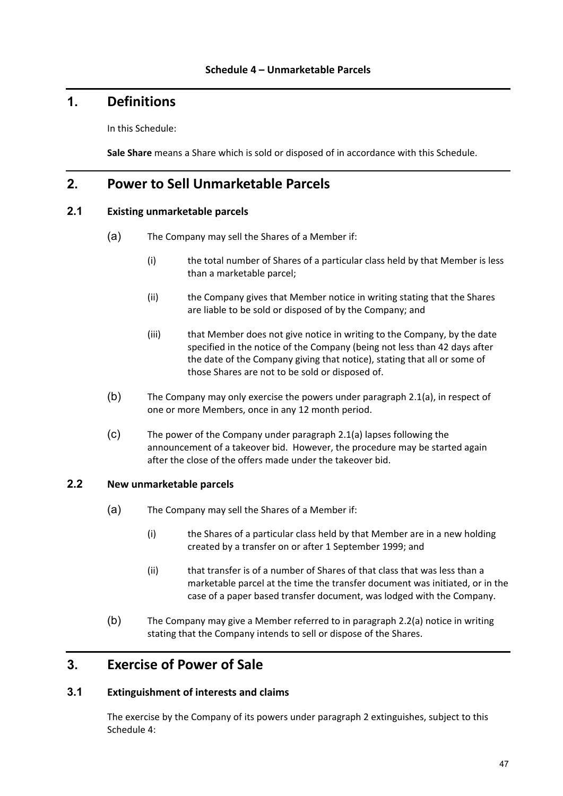## **1. Definitions**

In this Schedule:

**Sale Share** means a Share which is sold or disposed of in accordance with this Schedule.

## **2. Power to Sell Unmarketable Parcels**

### **2.1 Existing unmarketable parcels**

- (a) The Company may sell the Shares of a Member if:
	- (i) the total number of Shares of a particular class held by that Member is less than a marketable parcel;
	- (ii) the Company gives that Member notice in writing stating that the Shares are liable to be sold or disposed of by the Company; and
	- (iii) that Member does not give notice in writing to the Company, by the date specified in the notice of the Company (being not less than 42 days after the date of the Company giving that notice), stating that all or some of those Shares are not to be sold or disposed of.
- (b) The Company may only exercise the powers under paragraph 2.1(a), in respect of one or more Members, once in any 12 month period.
- (c) The power of the Company under paragraph 2.1(a) lapses following the announcement of a takeover bid. However, the procedure may be started again after the close of the offers made under the takeover bid.

#### **2.2 New unmarketable parcels**

- (a) The Company may sell the Shares of a Member if:
	- (i) the Shares of a particular class held by that Member are in a new holding created by a transfer on or after 1 September 1999; and
	- (ii) that transfer is of a number of Shares of that class that was less than a marketable parcel at the time the transfer document was initiated, or in the case of a paper based transfer document, was lodged with the Company.
- (b) The Company may give a Member referred to in paragraph 2.2(a) notice in writing stating that the Company intends to sell or dispose of the Shares.

## **3. Exercise of Power of Sale**

#### **3.1 Extinguishment of interests and claims**

The exercise by the Company of its powers under paragraph 2 extinguishes, subject to this Schedule 4: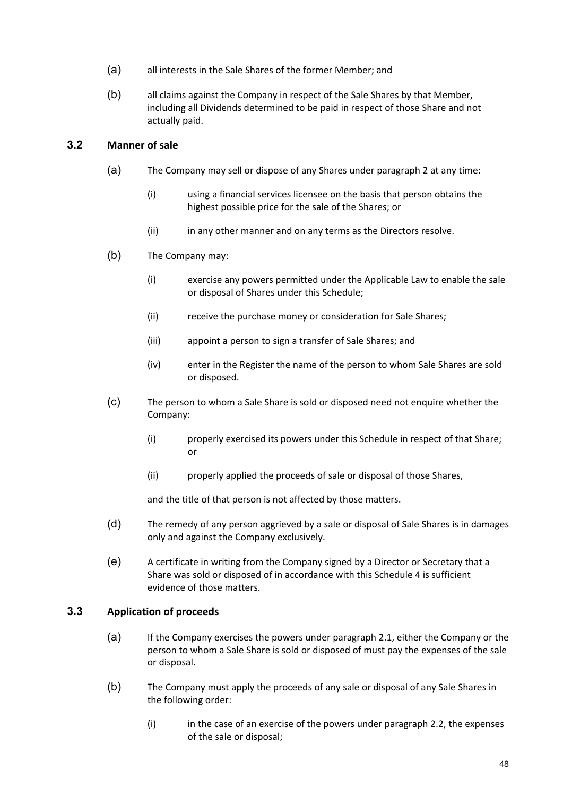- (a) all interests in the Sale Shares of the former Member; and
- (b) all claims against the Company in respect of the Sale Shares by that Member, including all Dividends determined to be paid in respect of those Share and not actually paid.

## **3.2 Manner of sale**

- (a) The Company may sell or dispose of any Shares under paragraph 2 at any time:
	- (i) using a financial services licensee on the basis that person obtains the highest possible price for the sale of the Shares; or
	- (ii) in any other manner and on any terms as the Directors resolve.
- (b) The Company may:
	- (i) exercise any powers permitted under the Applicable Law to enable the sale or disposal of Shares under this Schedule;
	- (ii) receive the purchase money or consideration for Sale Shares;
	- (iii) appoint a person to sign a transfer of Sale Shares; and
	- (iv) enter in the Register the name of the person to whom Sale Shares are sold or disposed.
- (c) The person to whom a Sale Share is sold or disposed need not enquire whether the Company:
	- (i) properly exercised its powers under this Schedule in respect of that Share; or
	- (ii) properly applied the proceeds of sale or disposal of those Shares,

and the title of that person is not affected by those matters.

- (d) The remedy of any person aggrieved by a sale or disposal of Sale Shares is in damages only and against the Company exclusively.
- (e) A certificate in writing from the Company signed by a Director or Secretary that a Share was sold or disposed of in accordance with this Schedule 4 is sufficient evidence of those matters.

## **3.3 Application of proceeds**

- (a) If the Company exercises the powers under paragraph 2.1, either the Company or the person to whom a Sale Share is sold or disposed of must pay the expenses of the sale or disposal.
- (b) The Company must apply the proceeds of any sale or disposal of any Sale Shares in the following order:
	- (i) in the case of an exercise of the powers under paragraph 2.2, the expenses of the sale or disposal;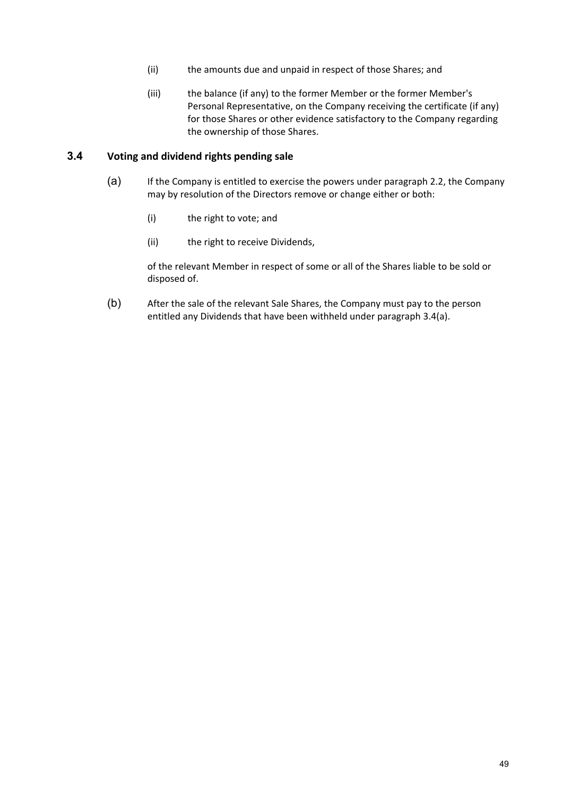- (ii) the amounts due and unpaid in respect of those Shares; and
- (iii) the balance (if any) to the former Member or the former Member's Personal Representative, on the Company receiving the certificate (if any) for those Shares or other evidence satisfactory to the Company regarding the ownership of those Shares.

#### **3.4 Voting and dividend rights pending sale**

- (a) If the Company is entitled to exercise the powers under paragraph 2.2, the Company may by resolution of the Directors remove or change either or both:
	- (i) the right to vote; and
	- (ii) the right to receive Dividends,

of the relevant Member in respect of some or all of the Shares liable to be sold or disposed of.

(b) After the sale of the relevant Sale Shares, the Company must pay to the person entitled any Dividends that have been withheld under paragraph 3.4(a).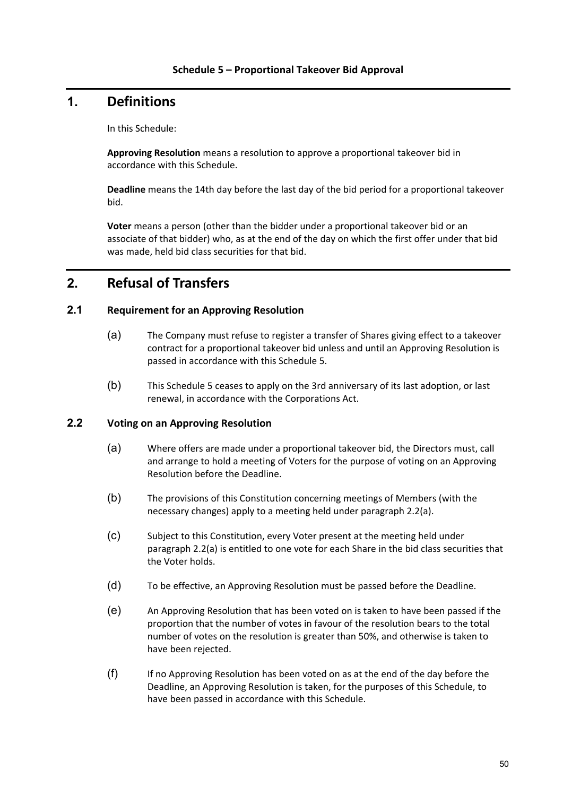## **1. Definitions**

In this Schedule:

**Approving Resolution** means a resolution to approve a proportional takeover bid in accordance with this Schedule.

**Deadline** means the 14th day before the last day of the bid period for a proportional takeover bid.

**Voter** means a person (other than the bidder under a proportional takeover bid or an associate of that bidder) who, as at the end of the day on which the first offer under that bid was made, held bid class securities for that bid.

## **2. Refusal of Transfers**

### **2.1 Requirement for an Approving Resolution**

- (a) The Company must refuse to register a transfer of Shares giving effect to a takeover contract for a proportional takeover bid unless and until an Approving Resolution is passed in accordance with this Schedule 5.
- (b) This Schedule 5 ceases to apply on the 3rd anniversary of its last adoption, or last renewal, in accordance with the Corporations Act.

#### **2.2 Voting on an Approving Resolution**

- (a) Where offers are made under a proportional takeover bid, the Directors must, call and arrange to hold a meeting of Voters for the purpose of voting on an Approving Resolution before the Deadline.
- (b) The provisions of this Constitution concerning meetings of Members (with the necessary changes) apply to a meeting held under paragraph 2.2(a).
- (c) Subject to this Constitution, every Voter present at the meeting held under paragraph 2.2(a) is entitled to one vote for each Share in the bid class securities that the Voter holds.
- (d) To be effective, an Approving Resolution must be passed before the Deadline.
- (e) An Approving Resolution that has been voted on is taken to have been passed if the proportion that the number of votes in favour of the resolution bears to the total number of votes on the resolution is greater than 50%, and otherwise is taken to have been rejected.
- (f) If no Approving Resolution has been voted on as at the end of the day before the Deadline, an Approving Resolution is taken, for the purposes of this Schedule, to have been passed in accordance with this Schedule.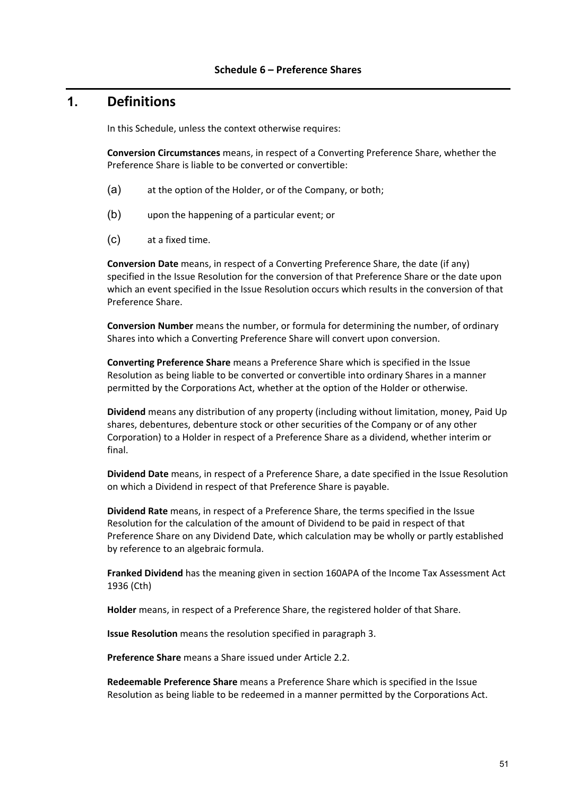## **1. Definitions**

In this Schedule, unless the context otherwise requires:

**Conversion Circumstances** means, in respect of a Converting Preference Share, whether the Preference Share is liable to be converted or convertible:

- (a) at the option of the Holder, or of the Company, or both;
- (b) upon the happening of a particular event; or
- (c) at a fixed time.

**Conversion Date** means, in respect of a Converting Preference Share, the date (if any) specified in the Issue Resolution for the conversion of that Preference Share or the date upon which an event specified in the Issue Resolution occurs which results in the conversion of that Preference Share.

**Conversion Number** means the number, or formula for determining the number, of ordinary Shares into which a Converting Preference Share will convert upon conversion.

**Converting Preference Share** means a Preference Share which is specified in the Issue Resolution as being liable to be converted or convertible into ordinary Shares in a manner permitted by the Corporations Act, whether at the option of the Holder or otherwise.

**Dividend** means any distribution of any property (including without limitation, money, Paid Up shares, debentures, debenture stock or other securities of the Company or of any other Corporation) to a Holder in respect of a Preference Share as a dividend, whether interim or final.

**Dividend Date** means, in respect of a Preference Share, a date specified in the Issue Resolution on which a Dividend in respect of that Preference Share is payable.

**Dividend Rate** means, in respect of a Preference Share, the terms specified in the Issue Resolution for the calculation of the amount of Dividend to be paid in respect of that Preference Share on any Dividend Date, which calculation may be wholly or partly established by reference to an algebraic formula.

**Franked Dividend** has the meaning given in section 160APA of the Income Tax Assessment Act 1936 (Cth)

**Holder** means, in respect of a Preference Share, the registered holder of that Share.

**Issue Resolution** means the resolution specified in paragraph 3.

**Preference Share** means a Share issued under Article 2.2.

**Redeemable Preference Share** means a Preference Share which is specified in the Issue Resolution as being liable to be redeemed in a manner permitted by the Corporations Act.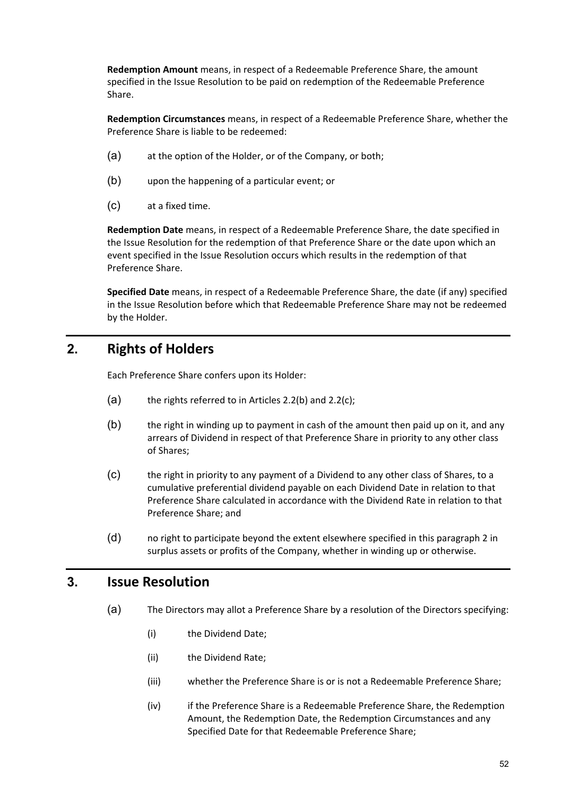**Redemption Amount** means, in respect of a Redeemable Preference Share, the amount specified in the Issue Resolution to be paid on redemption of the Redeemable Preference Share.

**Redemption Circumstances** means, in respect of a Redeemable Preference Share, whether the Preference Share is liable to be redeemed:

- (a) at the option of the Holder, or of the Company, or both;
- (b) upon the happening of a particular event; or
- (c) at a fixed time.

**Redemption Date** means, in respect of a Redeemable Preference Share, the date specified in the Issue Resolution for the redemption of that Preference Share or the date upon which an event specified in the Issue Resolution occurs which results in the redemption of that Preference Share.

**Specified Date** means, in respect of a Redeemable Preference Share, the date (if any) specified in the Issue Resolution before which that Redeemable Preference Share may not be redeemed by the Holder.

## **2. Rights of Holders**

Each Preference Share confers upon its Holder:

- $(a)$  the rights referred to in Articles 2.2(b) and 2.2(c);
- (b) the right in winding up to payment in cash of the amount then paid up on it, and any arrears of Dividend in respect of that Preference Share in priority to any other class of Shares;
- (c) the right in priority to any payment of a Dividend to any other class of Shares, to a cumulative preferential dividend payable on each Dividend Date in relation to that Preference Share calculated in accordance with the Dividend Rate in relation to that Preference Share; and
- (d) no right to participate beyond the extent elsewhere specified in this paragraph 2 in surplus assets or profits of the Company, whether in winding up or otherwise.

## **3. Issue Resolution**

- (a) The Directors may allot a Preference Share by a resolution of the Directors specifying:
	- (i) the Dividend Date;
	- (ii) the Dividend Rate;
	- (iii) whether the Preference Share is or is not a Redeemable Preference Share;
	- (iv) if the Preference Share is a Redeemable Preference Share, the Redemption Amount, the Redemption Date, the Redemption Circumstances and any Specified Date for that Redeemable Preference Share;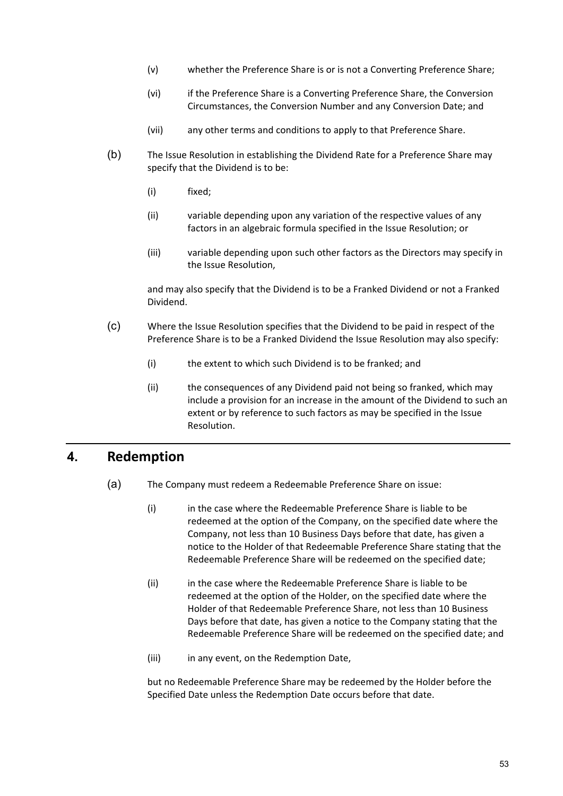- (v) whether the Preference Share is or is not a Converting Preference Share;
- (vi) if the Preference Share is a Converting Preference Share, the Conversion Circumstances, the Conversion Number and any Conversion Date; and
- (vii) any other terms and conditions to apply to that Preference Share.
- (b) The Issue Resolution in establishing the Dividend Rate for a Preference Share may specify that the Dividend is to be:
	- (i) fixed;
	- (ii) variable depending upon any variation of the respective values of any factors in an algebraic formula specified in the Issue Resolution; or
	- (iii) variable depending upon such other factors as the Directors may specify in the Issue Resolution,

and may also specify that the Dividend is to be a Franked Dividend or not a Franked Dividend.

- (c) Where the Issue Resolution specifies that the Dividend to be paid in respect of the Preference Share is to be a Franked Dividend the Issue Resolution may also specify:
	- (i) the extent to which such Dividend is to be franked; and
	- (ii) the consequences of any Dividend paid not being so franked, which may include a provision for an increase in the amount of the Dividend to such an extent or by reference to such factors as may be specified in the Issue Resolution.

## **4. Redemption**

- (a) The Company must redeem a Redeemable Preference Share on issue:
	- (i) in the case where the Redeemable Preference Share is liable to be redeemed at the option of the Company, on the specified date where the Company, not less than 10 Business Days before that date, has given a notice to the Holder of that Redeemable Preference Share stating that the Redeemable Preference Share will be redeemed on the specified date;
	- (ii) in the case where the Redeemable Preference Share is liable to be redeemed at the option of the Holder, on the specified date where the Holder of that Redeemable Preference Share, not less than 10 Business Days before that date, has given a notice to the Company stating that the Redeemable Preference Share will be redeemed on the specified date; and
	- (iii) in any event, on the Redemption Date,

but no Redeemable Preference Share may be redeemed by the Holder before the Specified Date unless the Redemption Date occurs before that date.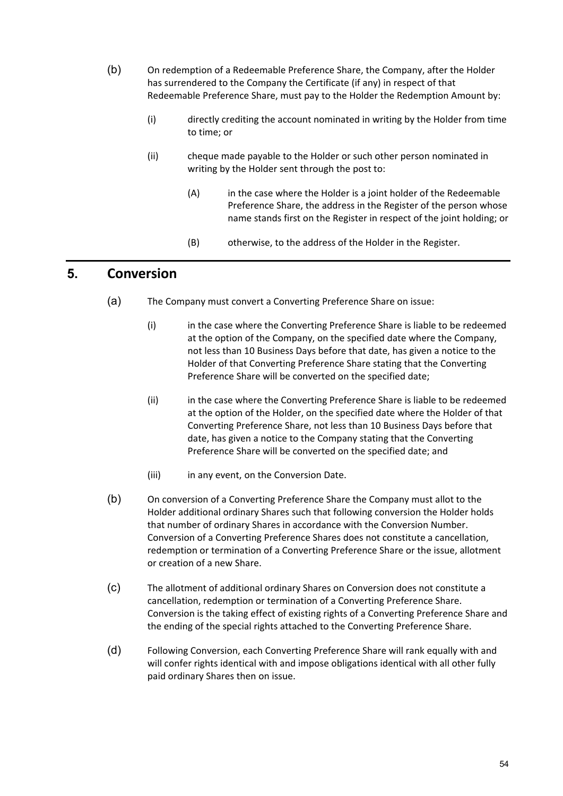- (b) On redemption of a Redeemable Preference Share, the Company, after the Holder has surrendered to the Company the Certificate (if any) in respect of that Redeemable Preference Share, must pay to the Holder the Redemption Amount by:
	- (i) directly crediting the account nominated in writing by the Holder from time to time; or
	- (ii) cheque made payable to the Holder or such other person nominated in writing by the Holder sent through the post to:
		- (A) in the case where the Holder is a joint holder of the Redeemable Preference Share, the address in the Register of the person whose name stands first on the Register in respect of the joint holding; or
		- (B) otherwise, to the address of the Holder in the Register.

## **5. Conversion**

- (a) The Company must convert a Converting Preference Share on issue:
	- (i) in the case where the Converting Preference Share is liable to be redeemed at the option of the Company, on the specified date where the Company, not less than 10 Business Days before that date, has given a notice to the Holder of that Converting Preference Share stating that the Converting Preference Share will be converted on the specified date;
	- (ii) in the case where the Converting Preference Share is liable to be redeemed at the option of the Holder, on the specified date where the Holder of that Converting Preference Share, not less than 10 Business Days before that date, has given a notice to the Company stating that the Converting Preference Share will be converted on the specified date; and
	- (iii) in any event, on the Conversion Date.
- (b) On conversion of a Converting Preference Share the Company must allot to the Holder additional ordinary Shares such that following conversion the Holder holds that number of ordinary Shares in accordance with the Conversion Number. Conversion of a Converting Preference Shares does not constitute a cancellation, redemption or termination of a Converting Preference Share or the issue, allotment or creation of a new Share.
- (c) The allotment of additional ordinary Shares on Conversion does not constitute a cancellation, redemption or termination of a Converting Preference Share. Conversion is the taking effect of existing rights of a Converting Preference Share and the ending of the special rights attached to the Converting Preference Share.
- (d) Following Conversion, each Converting Preference Share will rank equally with and will confer rights identical with and impose obligations identical with all other fully paid ordinary Shares then on issue.